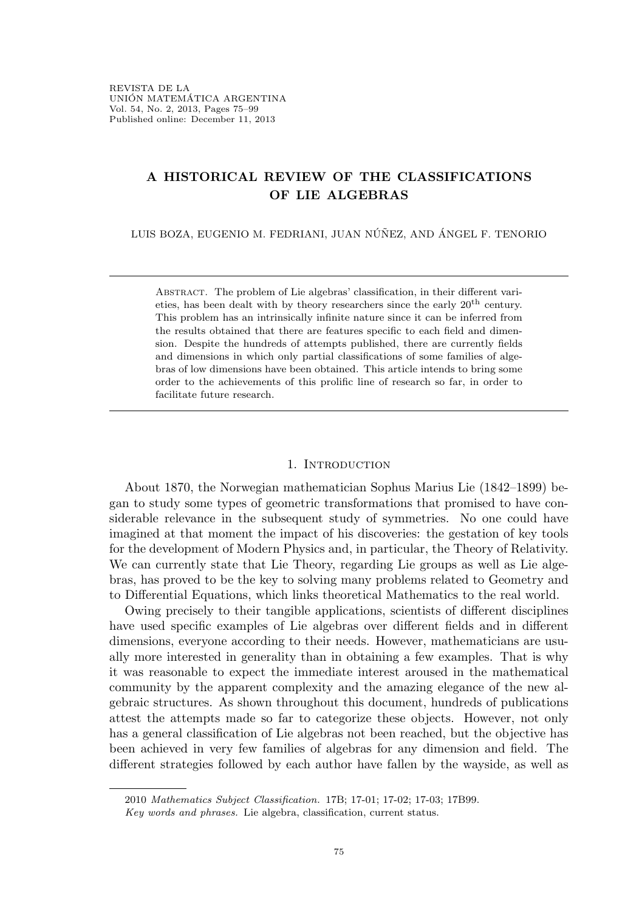# A HISTORICAL REVIEW OF THE CLASSIFICATIONS OF LIE ALGEBRAS

LUIS BOZA, EUGENIO M. FEDRIANI, JUAN NÚÑEZ, AND ÁNGEL F. TENORIO

Abstract. The problem of Lie algebras' classification, in their different varieties, has been dealt with by theory researchers since the early 20th century. This problem has an intrinsically infinite nature since it can be inferred from the results obtained that there are features specific to each field and dimension. Despite the hundreds of attempts published, there are currently fields and dimensions in which only partial classifications of some families of algebras of low dimensions have been obtained. This article intends to bring some order to the achievements of this prolific line of research so far, in order to facilitate future research.

#### 1. INTRODUCTION

About 1870, the Norwegian mathematician Sophus Marius Lie (1842–1899) began to study some types of geometric transformations that promised to have considerable relevance in the subsequent study of symmetries. No one could have imagined at that moment the impact of his discoveries: the gestation of key tools for the development of Modern Physics and, in particular, the Theory of Relativity. We can currently state that Lie Theory, regarding Lie groups as well as Lie algebras, has proved to be the key to solving many problems related to Geometry and to Differential Equations, which links theoretical Mathematics to the real world.

Owing precisely to their tangible applications, scientists of different disciplines have used specific examples of Lie algebras over different fields and in different dimensions, everyone according to their needs. However, mathematicians are usually more interested in generality than in obtaining a few examples. That is why it was reasonable to expect the immediate interest aroused in the mathematical community by the apparent complexity and the amazing elegance of the new algebraic structures. As shown throughout this document, hundreds of publications attest the attempts made so far to categorize these objects. However, not only has a general classification of Lie algebras not been reached, but the objective has been achieved in very few families of algebras for any dimension and field. The different strategies followed by each author have fallen by the wayside, as well as

<sup>2010</sup> Mathematics Subject Classification. 17B; 17-01; 17-02; 17-03; 17B99.

Key words and phrases. Lie algebra, classification, current status.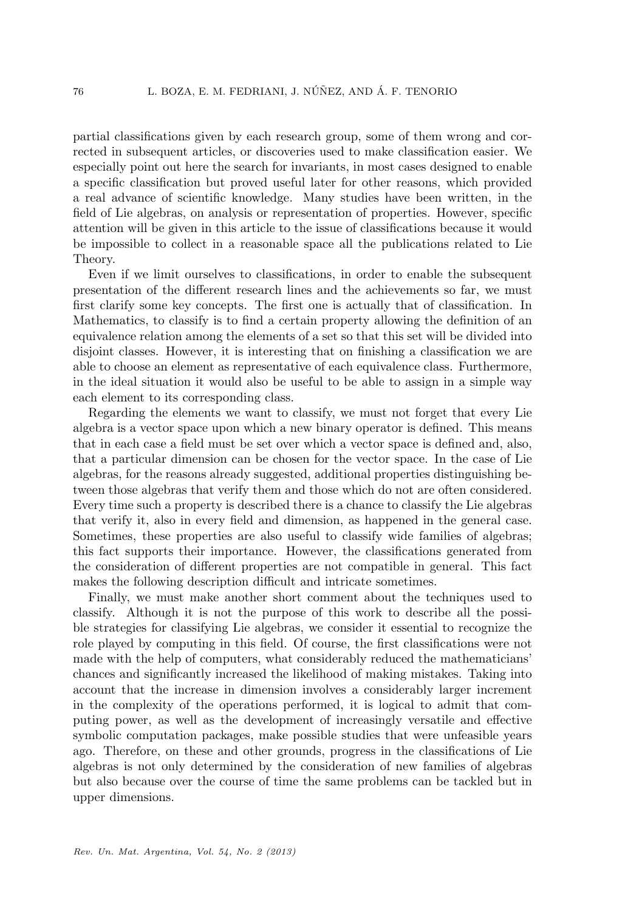partial classifications given by each research group, some of them wrong and corrected in subsequent articles, or discoveries used to make classification easier. We especially point out here the search for invariants, in most cases designed to enable a specific classification but proved useful later for other reasons, which provided a real advance of scientific knowledge. Many studies have been written, in the field of Lie algebras, on analysis or representation of properties. However, specific attention will be given in this article to the issue of classifications because it would be impossible to collect in a reasonable space all the publications related to Lie Theory.

Even if we limit ourselves to classifications, in order to enable the subsequent presentation of the different research lines and the achievements so far, we must first clarify some key concepts. The first one is actually that of classification. In Mathematics, to classify is to find a certain property allowing the definition of an equivalence relation among the elements of a set so that this set will be divided into disjoint classes. However, it is interesting that on finishing a classification we are able to choose an element as representative of each equivalence class. Furthermore, in the ideal situation it would also be useful to be able to assign in a simple way each element to its corresponding class.

Regarding the elements we want to classify, we must not forget that every Lie algebra is a vector space upon which a new binary operator is defined. This means that in each case a field must be set over which a vector space is defined and, also, that a particular dimension can be chosen for the vector space. In the case of Lie algebras, for the reasons already suggested, additional properties distinguishing between those algebras that verify them and those which do not are often considered. Every time such a property is described there is a chance to classify the Lie algebras that verify it, also in every field and dimension, as happened in the general case. Sometimes, these properties are also useful to classify wide families of algebras; this fact supports their importance. However, the classifications generated from the consideration of different properties are not compatible in general. This fact makes the following description difficult and intricate sometimes.

Finally, we must make another short comment about the techniques used to classify. Although it is not the purpose of this work to describe all the possible strategies for classifying Lie algebras, we consider it essential to recognize the role played by computing in this field. Of course, the first classifications were not made with the help of computers, what considerably reduced the mathematicians' chances and significantly increased the likelihood of making mistakes. Taking into account that the increase in dimension involves a considerably larger increment in the complexity of the operations performed, it is logical to admit that computing power, as well as the development of increasingly versatile and effective symbolic computation packages, make possible studies that were unfeasible years ago. Therefore, on these and other grounds, progress in the classifications of Lie algebras is not only determined by the consideration of new families of algebras but also because over the course of time the same problems can be tackled but in upper dimensions.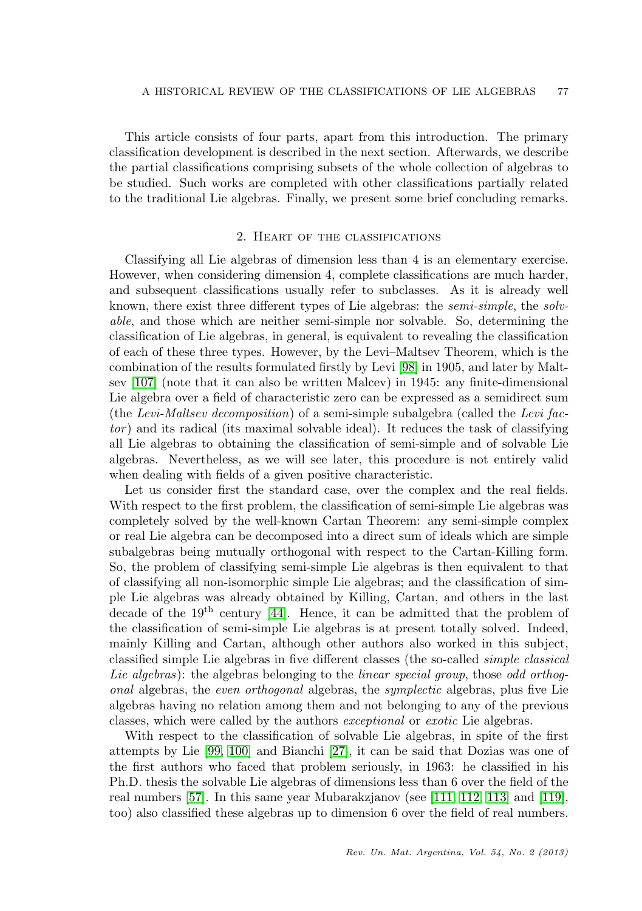This article consists of four parts, apart from this introduction. The primary classification development is described in the next section. Afterwards, we describe the partial classifications comprising subsets of the whole collection of algebras to be studied. Such works are completed with other classifications partially related to the traditional Lie algebras. Finally, we present some brief concluding remarks.

# 2. Heart of the classifications

Classifying all Lie algebras of dimension less than 4 is an elementary exercise. However, when considering dimension 4, complete classifications are much harder, and subsequent classifications usually refer to subclasses. As it is already well known, there exist three different types of Lie algebras: the semi-simple, the solvable, and those which are neither semi-simple nor solvable. So, determining the classification of Lie algebras, in general, is equivalent to revealing the classification of each of these three types. However, by the Levi–Maltsev Theorem, which is the combination of the results formulated firstly by Levi [\[98\]](#page-21-0) in 1905, and later by Maltsev [\[107\]](#page-21-1) (note that it can also be written Malcev) in 1945: any finite-dimensional Lie algebra over a field of characteristic zero can be expressed as a semidirect sum (the Levi-Maltsev decomposition) of a semi-simple subalgebra (called the Levi factor ) and its radical (its maximal solvable ideal). It reduces the task of classifying all Lie algebras to obtaining the classification of semi-simple and of solvable Lie algebras. Nevertheless, as we will see later, this procedure is not entirely valid when dealing with fields of a given positive characteristic.

Let us consider first the standard case, over the complex and the real fields. With respect to the first problem, the classification of semi-simple Lie algebras was completely solved by the well-known Cartan Theorem: any semi-simple complex or real Lie algebra can be decomposed into a direct sum of ideals which are simple subalgebras being mutually orthogonal with respect to the Cartan-Killing form. So, the problem of classifying semi-simple Lie algebras is then equivalent to that of classifying all non-isomorphic simple Lie algebras; and the classification of simple Lie algebras was already obtained by Killing, Cartan, and others in the last decade of the 19th century [\[44\]](#page-18-0). Hence, it can be admitted that the problem of the classification of semi-simple Lie algebras is at present totally solved. Indeed, mainly Killing and Cartan, although other authors also worked in this subject, classified simple Lie algebras in five different classes (the so-called simple classical Lie algebras): the algebras belonging to the linear special group, those odd orthogonal algebras, the even orthogonal algebras, the symplectic algebras, plus five Lie algebras having no relation among them and not belonging to any of the previous classes, which were called by the authors exceptional or exotic Lie algebras.

With respect to the classification of solvable Lie algebras, in spite of the first attempts by Lie [\[99,](#page-21-2) [100\]](#page-21-3) and Bianchi [\[27\]](#page-18-1), it can be said that Dozias was one of the first authors who faced that problem seriously, in 1963: he classified in his Ph.D. thesis the solvable Lie algebras of dimensions less than 6 over the field of the real numbers [\[57\]](#page-19-0). In this same year Mubarakzjanov (see [\[111,](#page-21-4) [112,](#page-21-5) [113\]](#page-21-6) and [\[119\]](#page-22-0), too) also classified these algebras up to dimension 6 over the field of real numbers.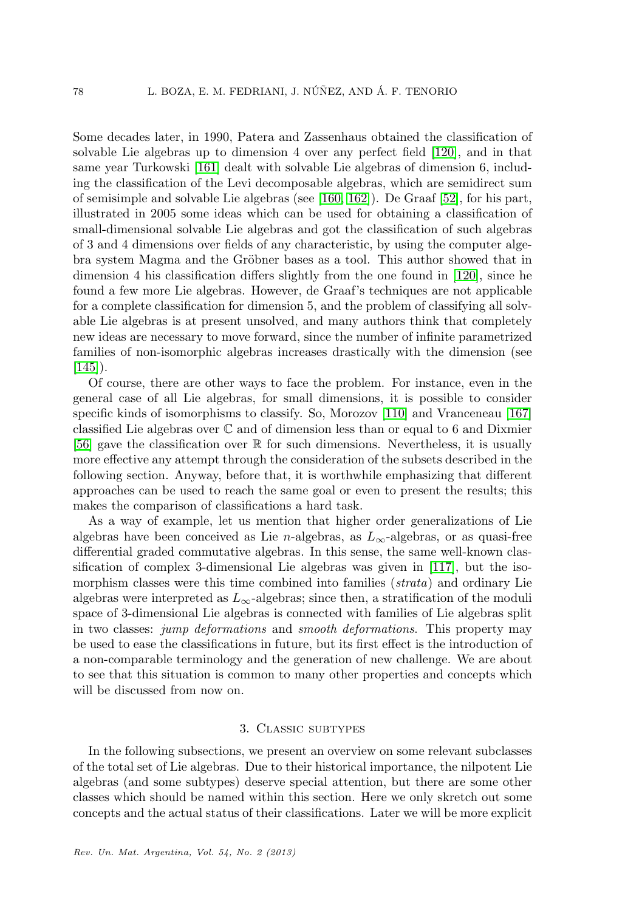Some decades later, in 1990, Patera and Zassenhaus obtained the classification of solvable Lie algebras up to dimension 4 over any perfect field [\[120\]](#page-22-1), and in that same year Turkowski [\[161\]](#page-23-0) dealt with solvable Lie algebras of dimension 6, including the classification of the Levi decomposable algebras, which are semidirect sum of semisimple and solvable Lie algebras (see [\[160,](#page-23-1) [162\]](#page-23-2)). De Graaf [\[52\]](#page-19-1), for his part, illustrated in 2005 some ideas which can be used for obtaining a classification of small-dimensional solvable Lie algebras and got the classification of such algebras of 3 and 4 dimensions over fields of any characteristic, by using the computer algebra system Magma and the Gröbner bases as a tool. This author showed that in dimension 4 his classification differs slightly from the one found in [\[120\]](#page-22-1), since he found a few more Lie algebras. However, de Graaf's techniques are not applicable for a complete classification for dimension 5, and the problem of classifying all solvable Lie algebras is at present unsolved, and many authors think that completely new ideas are necessary to move forward, since the number of infinite parametrized families of non-isomorphic algebras increases drastically with the dimension (see  $[145]$ .

Of course, there are other ways to face the problem. For instance, even in the general case of all Lie algebras, for small dimensions, it is possible to consider specific kinds of isomorphisms to classify. So, Morozov [\[110\]](#page-21-7) and Vranceneau [\[167\]](#page-24-0) classified Lie algebras over  $\mathbb C$  and of dimension less than or equal to 6 and Dixmier [\[56\]](#page-19-2) gave the classification over  $\mathbb R$  for such dimensions. Nevertheless, it is usually more effective any attempt through the consideration of the subsets described in the following section. Anyway, before that, it is worthwhile emphasizing that different approaches can be used to reach the same goal or even to present the results; this makes the comparison of classifications a hard task.

As a way of example, let us mention that higher order generalizations of Lie algebras have been conceived as Lie n-algebras, as  $L_{\infty}$ -algebras, or as quasi-free differential graded commutative algebras. In this sense, the same well-known classification of complex 3-dimensional Lie algebras was given in [\[117\]](#page-21-8), but the isomorphism classes were this time combined into families (*strata*) and ordinary Lie algebras were interpreted as  $L_{\infty}$ -algebras; since then, a stratification of the moduli space of 3-dimensional Lie algebras is connected with families of Lie algebras split in two classes: *jump deformations* and *smooth deformations*. This property may be used to ease the classifications in future, but its first effect is the introduction of a non-comparable terminology and the generation of new challenge. We are about to see that this situation is common to many other properties and concepts which will be discussed from now on.

## 3. Classic subtypes

In the following subsections, we present an overview on some relevant subclasses of the total set of Lie algebras. Due to their historical importance, the nilpotent Lie algebras (and some subtypes) deserve special attention, but there are some other classes which should be named within this section. Here we only skretch out some concepts and the actual status of their classifications. Later we will be more explicit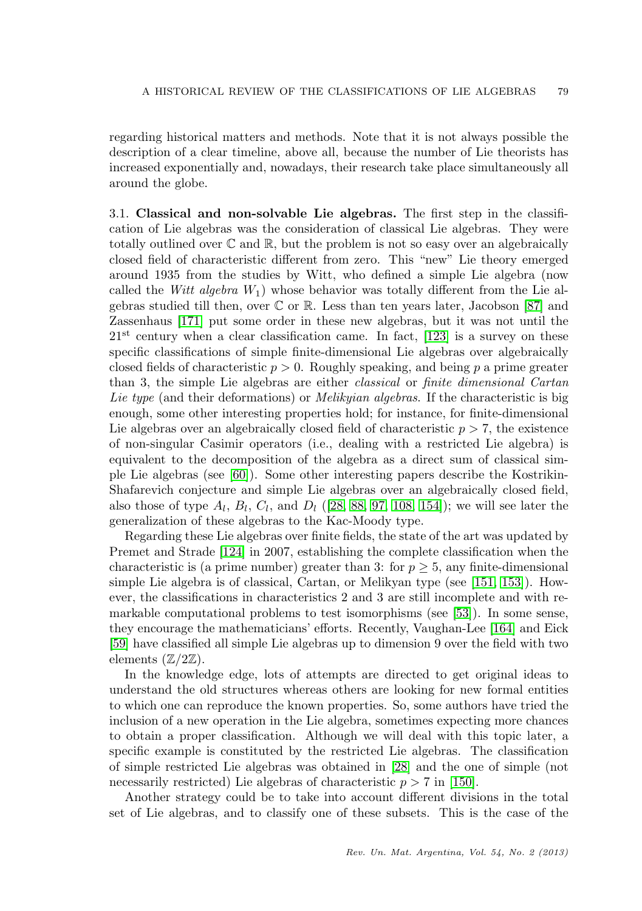regarding historical matters and methods. Note that it is not always possible the description of a clear timeline, above all, because the number of Lie theorists has increased exponentially and, nowadays, their research take place simultaneously all around the globe.

3.1. Classical and non-solvable Lie algebras. The first step in the classification of Lie algebras was the consideration of classical Lie algebras. They were totally outlined over  $\mathbb C$  and  $\mathbb R$ , but the problem is not so easy over an algebraically closed field of characteristic different from zero. This "new" Lie theory emerged around 1935 from the studies by Witt, who defined a simple Lie algebra (now called the Witt algebra  $W_1$ ) whose behavior was totally different from the Lie algebras studied till then, over  $\mathbb C$  or  $\mathbb R$ . Less than ten years later, Jacobson [\[87\]](#page-20-0) and Zassenhaus [\[171\]](#page-24-1) put some order in these new algebras, but it was not until the  $21<sup>st</sup>$  century when a clear classification came. In fact, [\[123\]](#page-22-2) is a survey on these specific classifications of simple finite-dimensional Lie algebras over algebraically closed fields of characteristic  $p > 0$ . Roughly speaking, and being p a prime greater than 3, the simple Lie algebras are either classical or finite dimensional Cartan Lie type (and their deformations) or *Melikyian algebras*. If the characteristic is big enough, some other interesting properties hold; for instance, for finite-dimensional Lie algebras over an algebraically closed field of characteristic  $p > 7$ , the existence of non-singular Casimir operators (i.e., dealing with a restricted Lie algebra) is equivalent to the decomposition of the algebra as a direct sum of classical simple Lie algebras (see [\[60\]](#page-19-3)). Some other interesting papers describe the Kostrikin-Shafarevich conjecture and simple Lie algebras over an algebraically closed field, also those of type  $A_l$ ,  $B_l$ ,  $C_l$ , and  $D_l$  ([\[28,](#page-18-2) [88,](#page-20-1) [97,](#page-20-2) [108,](#page-21-9) [154\]](#page-23-4)); we will see later the generalization of these algebras to the Kac-Moody type.

Regarding these Lie algebras over finite fields, the state of the art was updated by Premet and Strade [\[124\]](#page-22-3) in 2007, establishing the complete classification when the characteristic is (a prime number) greater than 3: for  $p \geq 5$ , any finite-dimensional simple Lie algebra is of classical, Cartan, or Melikyan type (see [\[151,](#page-23-5) [153\]](#page-23-6)). However, the classifications in characteristics 2 and 3 are still incomplete and with remarkable computational problems to test isomorphisms (see [\[53\]](#page-19-4)). In some sense, they encourage the mathematicians' efforts. Recently, Vaughan-Lee [\[164\]](#page-23-7) and Eick [\[59\]](#page-19-5) have classified all simple Lie algebras up to dimension 9 over the field with two elements  $(\mathbb{Z}/2\mathbb{Z})$ .

In the knowledge edge, lots of attempts are directed to get original ideas to understand the old structures whereas others are looking for new formal entities to which one can reproduce the known properties. So, some authors have tried the inclusion of a new operation in the Lie algebra, sometimes expecting more chances to obtain a proper classification. Although we will deal with this topic later, a specific example is constituted by the restricted Lie algebras. The classification of simple restricted Lie algebras was obtained in [\[28\]](#page-18-2) and the one of simple (not necessarily restricted) Lie algebras of characteristic  $p > 7$  in [\[150\]](#page-23-8).

Another strategy could be to take into account different divisions in the total set of Lie algebras, and to classify one of these subsets. This is the case of the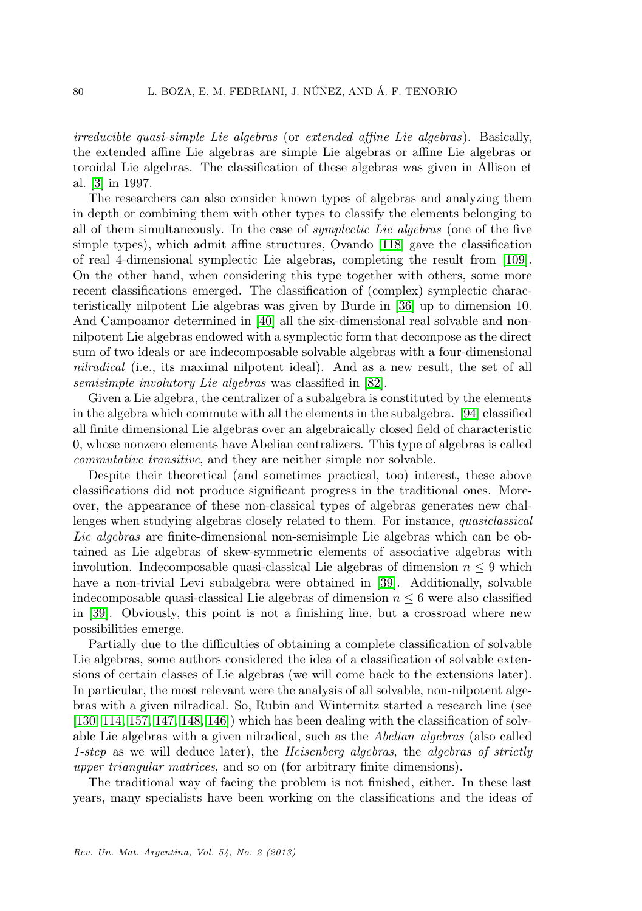irreducible quasi-simple Lie algebras (or extended affine Lie algebras). Basically, the extended affine Lie algebras are simple Lie algebras or affine Lie algebras or toroidal Lie algebras. The classification of these algebras was given in Allison et al. [\[3\]](#page-16-0) in 1997.

The researchers can also consider known types of algebras and analyzing them in depth or combining them with other types to classify the elements belonging to all of them simultaneously. In the case of symplectic Lie algebras (one of the five simple types), which admit affine structures, Ovando [\[118\]](#page-21-10) gave the classification of real 4-dimensional symplectic Lie algebras, completing the result from [\[109\]](#page-21-11). On the other hand, when considering this type together with others, some more recent classifications emerged. The classification of (complex) symplectic characteristically nilpotent Lie algebras was given by Burde in [\[36\]](#page-18-3) up to dimension 10. And Campoamor determined in [\[40\]](#page-18-4) all the six-dimensional real solvable and nonnilpotent Lie algebras endowed with a symplectic form that decompose as the direct sum of two ideals or are indecomposable solvable algebras with a four-dimensional nilradical (i.e., its maximal nilpotent ideal). And as a new result, the set of all semisimple involutory Lie algebras was classified in [\[82\]](#page-20-3).

Given a Lie algebra, the centralizer of a subalgebra is constituted by the elements in the algebra which commute with all the elements in the subalgebra. [\[94\]](#page-20-4) classified all finite dimensional Lie algebras over an algebraically closed field of characteristic 0, whose nonzero elements have Abelian centralizers. This type of algebras is called commutative transitive, and they are neither simple nor solvable.

Despite their theoretical (and sometimes practical, too) interest, these above classifications did not produce significant progress in the traditional ones. Moreover, the appearance of these non-classical types of algebras generates new challenges when studying algebras closely related to them. For instance, quasiclassical Lie algebras are finite-dimensional non-semisimple Lie algebras which can be obtained as Lie algebras of skew-symmetric elements of associative algebras with involution. Indecomposable quasi-classical Lie algebras of dimension  $n \leq 9$  which have a non-trivial Levi subalgebra were obtained in [\[39\]](#page-18-5). Additionally, solvable indecomposable quasi-classical Lie algebras of dimension  $n \leq 6$  were also classified in [\[39\]](#page-18-5). Obviously, this point is not a finishing line, but a crossroad where new possibilities emerge.

Partially due to the difficulties of obtaining a complete classification of solvable Lie algebras, some authors considered the idea of a classification of solvable extensions of certain classes of Lie algebras (we will come back to the extensions later). In particular, the most relevant were the analysis of all solvable, non-nilpotent algebras with a given nilradical. So, Rubin and Winternitz started a research line (see  $[130, 114, 157, 147, 148, 146]$  $[130, 114, 157, 147, 148, 146]$  $[130, 114, 157, 147, 148, 146]$  $[130, 114, 157, 147, 148, 146]$  $[130, 114, 157, 147, 148, 146]$  $[130, 114, 157, 147, 148, 146]$  which has been dealing with the classification of solvable Lie algebras with a given nilradical, such as the Abelian algebras (also called 1-step as we will deduce later), the Heisenberg algebras, the algebras of strictly upper triangular matrices, and so on (for arbitrary finite dimensions).

The traditional way of facing the problem is not finished, either. In these last years, many specialists have been working on the classifications and the ideas of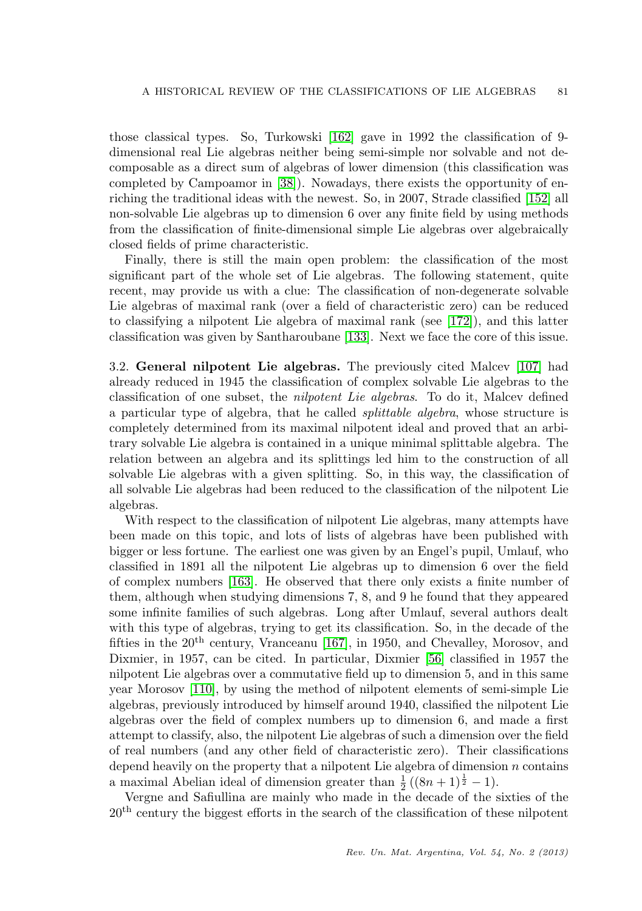those classical types. So, Turkowski [\[162\]](#page-23-2) gave in 1992 the classification of 9 dimensional real Lie algebras neither being semi-simple nor solvable and not decomposable as a direct sum of algebras of lower dimension (this classification was completed by Campoamor in [\[38\]](#page-18-6)). Nowadays, there exists the opportunity of enriching the traditional ideas with the newest. So, in 2007, Strade classified [\[152\]](#page-23-13) all non-solvable Lie algebras up to dimension 6 over any finite field by using methods from the classification of finite-dimensional simple Lie algebras over algebraically closed fields of prime characteristic.

Finally, there is still the main open problem: the classification of the most significant part of the whole set of Lie algebras. The following statement, quite recent, may provide us with a clue: The classification of non-degenerate solvable Lie algebras of maximal rank (over a field of characteristic zero) can be reduced to classifying a nilpotent Lie algebra of maximal rank (see [\[172\]](#page-24-2)), and this latter classification was given by Santharoubane [\[133\]](#page-22-5). Next we face the core of this issue.

3.2. General nilpotent Lie algebras. The previously cited Malcev [\[107\]](#page-21-1) had already reduced in 1945 the classification of complex solvable Lie algebras to the classification of one subset, the nilpotent Lie algebras. To do it, Malcev defined a particular type of algebra, that he called splittable algebra, whose structure is completely determined from its maximal nilpotent ideal and proved that an arbitrary solvable Lie algebra is contained in a unique minimal splittable algebra. The relation between an algebra and its splittings led him to the construction of all solvable Lie algebras with a given splitting. So, in this way, the classification of all solvable Lie algebras had been reduced to the classification of the nilpotent Lie algebras.

With respect to the classification of nilpotent Lie algebras, many attempts have been made on this topic, and lots of lists of algebras have been published with bigger or less fortune. The earliest one was given by an Engel's pupil, Umlauf, who classified in 1891 all the nilpotent Lie algebras up to dimension 6 over the field of complex numbers [\[163\]](#page-23-14). He observed that there only exists a finite number of them, although when studying dimensions 7, 8, and 9 he found that they appeared some infinite families of such algebras. Long after Umlauf, several authors dealt with this type of algebras, trying to get its classification. So, in the decade of the fifties in the  $20<sup>th</sup>$  century, Vranceanu [\[167\]](#page-24-0), in 1950, and Chevalley, Morosov, and Dixmier, in 1957, can be cited. In particular, Dixmier [\[56\]](#page-19-2) classified in 1957 the nilpotent Lie algebras over a commutative field up to dimension 5, and in this same year Morosov [\[110\]](#page-21-7), by using the method of nilpotent elements of semi-simple Lie algebras, previously introduced by himself around 1940, classified the nilpotent Lie algebras over the field of complex numbers up to dimension 6, and made a first attempt to classify, also, the nilpotent Lie algebras of such a dimension over the field of real numbers (and any other field of characteristic zero). Their classifications depend heavily on the property that a nilpotent Lie algebra of dimension  $n$  contains a maximal Abelian ideal of dimension greater than  $\frac{1}{2}((8n+1)^{\frac{1}{2}}-1)$ .

Vergne and Safiullina are mainly who made in the decade of the sixties of the  $20<sup>th</sup>$  century the biggest efforts in the search of the classification of these nilpotent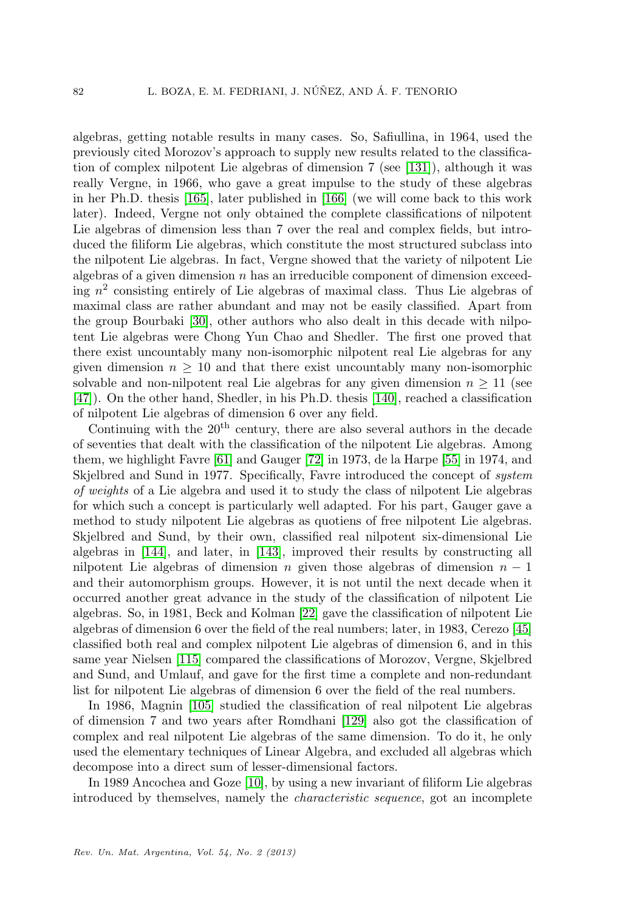algebras, getting notable results in many cases. So, Safiullina, in 1964, used the previously cited Morozov's approach to supply new results related to the classification of complex nilpotent Lie algebras of dimension 7 (see [\[131\]](#page-22-6)), although it was really Vergne, in 1966, who gave a great impulse to the study of these algebras in her Ph.D. thesis [\[165\]](#page-23-15), later published in [\[166\]](#page-23-16) (we will come back to this work later). Indeed, Vergne not only obtained the complete classifications of nilpotent Lie algebras of dimension less than 7 over the real and complex fields, but introduced the filiform Lie algebras, which constitute the most structured subclass into the nilpotent Lie algebras. In fact, Vergne showed that the variety of nilpotent Lie algebras of a given dimension  $n$  has an irreducible component of dimension exceeding  $n^2$  consisting entirely of Lie algebras of maximal class. Thus Lie algebras of maximal class are rather abundant and may not be easily classified. Apart from the group Bourbaki [\[30\]](#page-18-7), other authors who also dealt in this decade with nilpotent Lie algebras were Chong Yun Chao and Shedler. The first one proved that there exist uncountably many non-isomorphic nilpotent real Lie algebras for any given dimension  $n > 10$  and that there exist uncountably many non-isomorphic solvable and non-nilpotent real Lie algebras for any given dimension  $n \geq 11$  (see [\[47\]](#page-18-8)). On the other hand, Shedler, in his Ph.D. thesis [\[140\]](#page-22-7), reached a classification of nilpotent Lie algebras of dimension 6 over any field.

Continuing with the  $20<sup>th</sup>$  century, there are also several authors in the decade of seventies that dealt with the classification of the nilpotent Lie algebras. Among them, we highlight Favre [\[61\]](#page-19-6) and Gauger [\[72\]](#page-19-7) in 1973, de la Harpe [\[55\]](#page-19-8) in 1974, and Skjelbred and Sund in 1977. Specifically, Favre introduced the concept of system of weights of a Lie algebra and used it to study the class of nilpotent Lie algebras for which such a concept is particularly well adapted. For his part, Gauger gave a method to study nilpotent Lie algebras as quotiens of free nilpotent Lie algebras. Skjelbred and Sund, by their own, classified real nilpotent six-dimensional Lie algebras in [\[144\]](#page-23-17), and later, in [\[143\]](#page-23-18), improved their results by constructing all nilpotent Lie algebras of dimension n given those algebras of dimension  $n-1$ and their automorphism groups. However, it is not until the next decade when it occurred another great advance in the study of the classification of nilpotent Lie algebras. So, in 1981, Beck and Kolman [\[22\]](#page-17-0) gave the classification of nilpotent Lie algebras of dimension 6 over the field of the real numbers; later, in 1983, Cerezo [\[45\]](#page-18-9) classified both real and complex nilpotent Lie algebras of dimension 6, and in this same year Nielsen [\[115\]](#page-21-13) compared the classifications of Morozov, Vergne, Skjelbred and Sund, and Umlauf, and gave for the first time a complete and non-redundant list for nilpotent Lie algebras of dimension 6 over the field of the real numbers.

In 1986, Magnin [\[105\]](#page-21-14) studied the classification of real nilpotent Lie algebras of dimension 7 and two years after Romdhani [\[129\]](#page-22-8) also got the classification of complex and real nilpotent Lie algebras of the same dimension. To do it, he only used the elementary techniques of Linear Algebra, and excluded all algebras which decompose into a direct sum of lesser-dimensional factors.

In 1989 Ancochea and Goze [\[10\]](#page-17-1), by using a new invariant of filiform Lie algebras introduced by themselves, namely the characteristic sequence, got an incomplete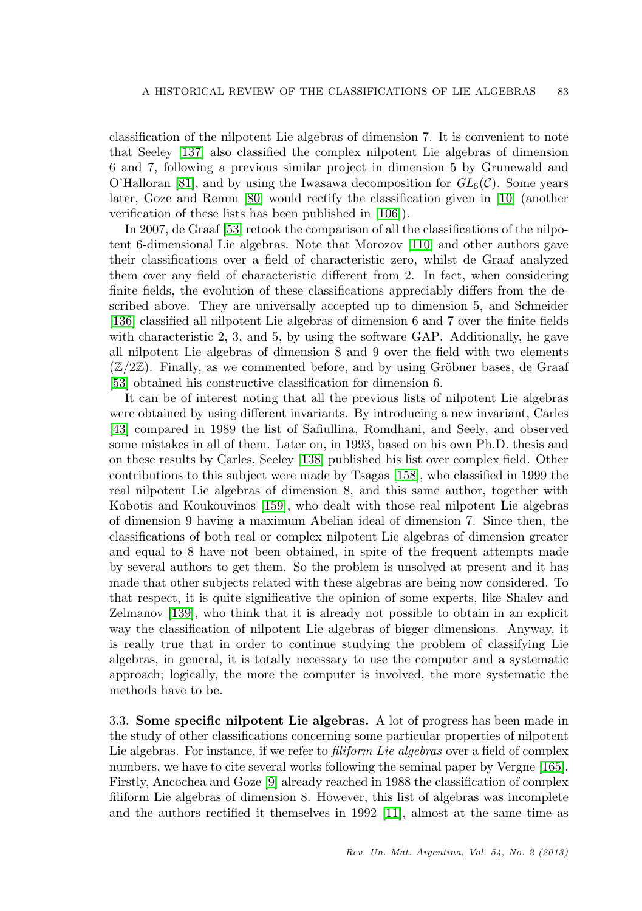classification of the nilpotent Lie algebras of dimension 7. It is convenient to note that Seeley [\[137\]](#page-22-9) also classified the complex nilpotent Lie algebras of dimension 6 and 7, following a previous similar project in dimension 5 by Grunewald and O'Halloran [\[81\]](#page-20-5), and by using the Iwasawa decomposition for  $GL_6(\mathcal{C})$ . Some years later, Goze and Remm [\[80\]](#page-20-6) would rectify the classification given in [\[10\]](#page-17-1) (another verification of these lists has been published in [\[106\]](#page-21-15)).

In 2007, de Graaf [\[53\]](#page-19-4) retook the comparison of all the classifications of the nilpotent 6-dimensional Lie algebras. Note that Morozov [\[110\]](#page-21-7) and other authors gave their classifications over a field of characteristic zero, whilst de Graaf analyzed them over any field of characteristic different from 2. In fact, when considering finite fields, the evolution of these classifications appreciably differs from the described above. They are universally accepted up to dimension 5, and Schneider [\[136\]](#page-22-10) classified all nilpotent Lie algebras of dimension 6 and 7 over the finite fields with characteristic 2, 3, and 5, by using the software GAP. Additionally, he gave all nilpotent Lie algebras of dimension 8 and 9 over the field with two elements  $(\mathbb{Z}/2\mathbb{Z})$ . Finally, as we commented before, and by using Gröbner bases, de Graaf [\[53\]](#page-19-4) obtained his constructive classification for dimension 6.

It can be of interest noting that all the previous lists of nilpotent Lie algebras were obtained by using different invariants. By introducing a new invariant, Carles [\[43\]](#page-18-10) compared in 1989 the list of Safiullina, Romdhani, and Seely, and observed some mistakes in all of them. Later on, in 1993, based on his own Ph.D. thesis and on these results by Carles, Seeley [\[138\]](#page-22-11) published his list over complex field. Other contributions to this subject were made by Tsagas [\[158\]](#page-23-19), who classified in 1999 the real nilpotent Lie algebras of dimension 8, and this same author, together with Kobotis and Koukouvinos [\[159\]](#page-23-20), who dealt with those real nilpotent Lie algebras of dimension 9 having a maximum Abelian ideal of dimension 7. Since then, the classifications of both real or complex nilpotent Lie algebras of dimension greater and equal to 8 have not been obtained, in spite of the frequent attempts made by several authors to get them. So the problem is unsolved at present and it has made that other subjects related with these algebras are being now considered. To that respect, it is quite significative the opinion of some experts, like Shalev and Zelmanov [\[139\]](#page-22-12), who think that it is already not possible to obtain in an explicit way the classification of nilpotent Lie algebras of bigger dimensions. Anyway, it is really true that in order to continue studying the problem of classifying Lie algebras, in general, it is totally necessary to use the computer and a systematic approach; logically, the more the computer is involved, the more systematic the methods have to be.

3.3. Some specific nilpotent Lie algebras. A lot of progress has been made in the study of other classifications concerning some particular properties of nilpotent Lie algebras. For instance, if we refer to *filiform Lie algebras* over a field of complex numbers, we have to cite several works following the seminal paper by Vergne [\[165\]](#page-23-15). Firstly, Ancochea and Goze [\[9\]](#page-17-2) already reached in 1988 the classification of complex filiform Lie algebras of dimension 8. However, this list of algebras was incomplete and the authors rectified it themselves in 1992 [\[11\]](#page-17-3), almost at the same time as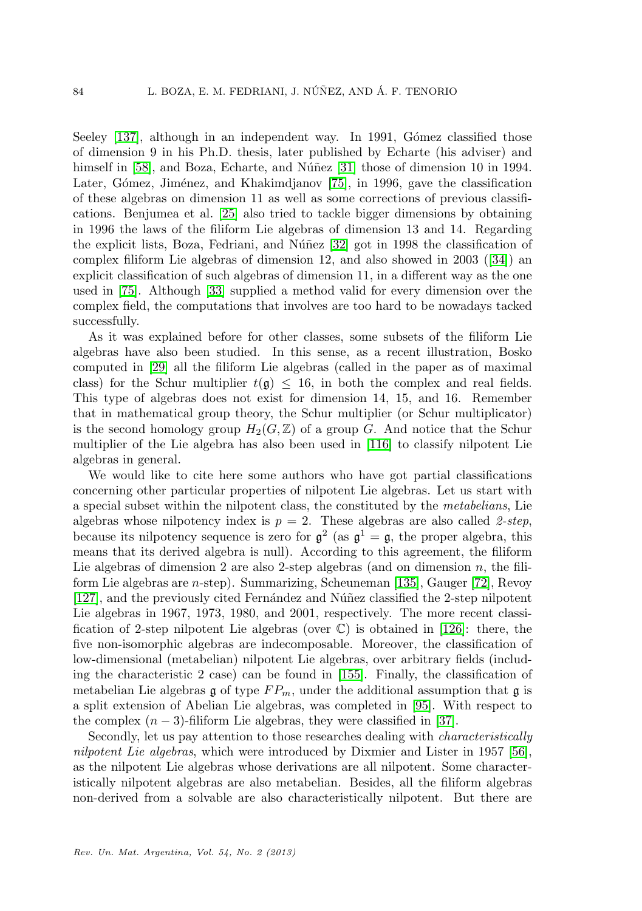Seeley [\[137\]](#page-22-9), although in an independent way. In 1991, Gómez classified those of dimension 9 in his Ph.D. thesis, later published by Echarte (his adviser) and himself in  $[58]$ , and Boza, Echarte, and Núñez  $[31]$  those of dimension 10 in 1994. Later, Gómez, Jiménez, and Khakimdjanov [\[75\]](#page-20-7), in 1996, gave the classification of these algebras on dimension 11 as well as some corrections of previous classifications. Benjumea et al. [\[25\]](#page-17-4) also tried to tackle bigger dimensions by obtaining in 1996 the laws of the filiform Lie algebras of dimension 13 and 14. Regarding the explicit lists, Boza, Fedriani, and Núñez  $[32]$  got in 1998 the classification of complex filiform Lie algebras of dimension 12, and also showed in 2003 ([\[34\]](#page-18-13)) an explicit classification of such algebras of dimension 11, in a different way as the one used in [\[75\]](#page-20-7). Although [\[33\]](#page-18-14) supplied a method valid for every dimension over the complex field, the computations that involves are too hard to be nowadays tacked successfully.

As it was explained before for other classes, some subsets of the filiform Lie algebras have also been studied. In this sense, as a recent illustration, Bosko computed in [\[29\]](#page-18-15) all the filiform Lie algebras (called in the paper as of maximal class) for the Schur multiplier  $t(\mathfrak{g}) \leq 16$ , in both the complex and real fields. This type of algebras does not exist for dimension 14, 15, and 16. Remember that in mathematical group theory, the Schur multiplier (or Schur multiplicator) is the second homology group  $H_2(G, \mathbb{Z})$  of a group G. And notice that the Schur multiplier of the Lie algebra has also been used in [\[116\]](#page-21-16) to classify nilpotent Lie algebras in general.

We would like to cite here some authors who have got partial classifications concerning other particular properties of nilpotent Lie algebras. Let us start with a special subset within the nilpotent class, the constituted by the metabelians, Lie algebras whose nilpotency index is  $p = 2$ . These algebras are also called 2-step, because its nilpotency sequence is zero for  $\mathfrak{g}^2$  (as  $\mathfrak{g}^1 = \mathfrak{g}$ , the proper algebra, this means that its derived algebra is null). According to this agreement, the filiform Lie algebras of dimension 2 are also 2-step algebras (and on dimension  $n$ , the filiform Lie algebras are n-step). Summarizing, Scheuneman [\[135\]](#page-22-13), Gauger [\[72\]](#page-19-7), Revoy  $[127]$ , and the previously cited Fernández and Núñez classified the 2-step nilpotent Lie algebras in 1967, 1973, 1980, and 2001, respectively. The more recent classification of 2-step nilpotent Lie algebras (over  $\mathbb{C}$ ) is obtained in [\[126\]](#page-22-15): there, the five non-isomorphic algebras are indecomposable. Moreover, the classification of low-dimensional (metabelian) nilpotent Lie algebras, over arbitrary fields (including the characteristic 2 case) can be found in [\[155\]](#page-23-21). Finally, the classification of metabelian Lie algebras g of type  $FP_m$ , under the additional assumption that g is a split extension of Abelian Lie algebras, was completed in [\[95\]](#page-20-8). With respect to the complex  $(n-3)$ -filiform Lie algebras, they were classified in [\[37\]](#page-18-16).

Secondly, let us pay attention to those researches dealing with characteristically nilpotent Lie algebras, which were introduced by Dixmier and Lister in 1957 [\[56\]](#page-19-2), as the nilpotent Lie algebras whose derivations are all nilpotent. Some characteristically nilpotent algebras are also metabelian. Besides, all the filiform algebras non-derived from a solvable are also characteristically nilpotent. But there are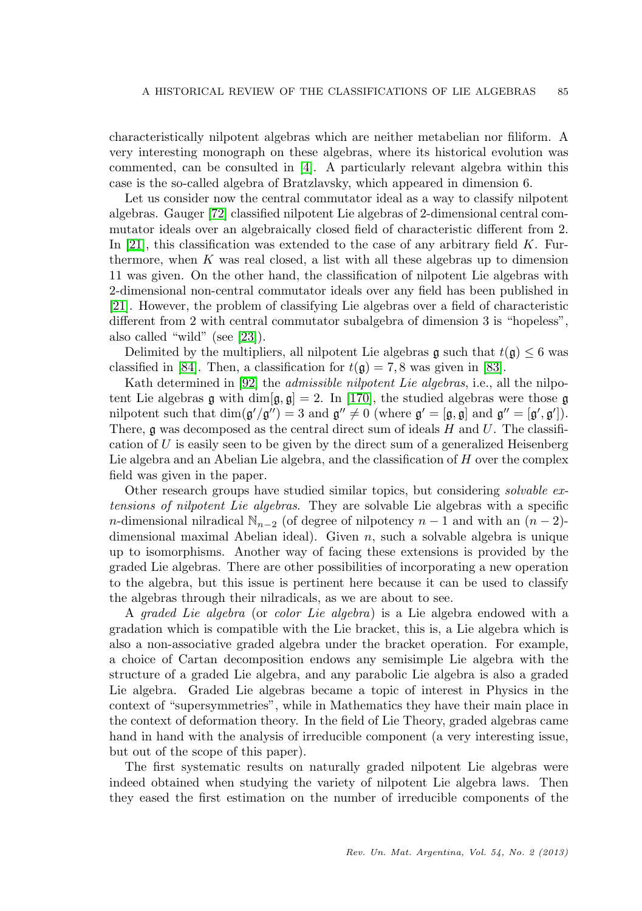characteristically nilpotent algebras which are neither metabelian nor filiform. A very interesting monograph on these algebras, where its historical evolution was commented, can be consulted in [\[4\]](#page-16-1). A particularly relevant algebra within this case is the so-called algebra of Bratzlavsky, which appeared in dimension 6.

Let us consider now the central commutator ideal as a way to classify nilpotent algebras. Gauger [\[72\]](#page-19-7) classified nilpotent Lie algebras of 2-dimensional central commutator ideals over an algebraically closed field of characteristic different from 2. In [\[21\]](#page-17-5), this classification was extended to the case of any arbitrary field  $K$ . Furthermore, when  $K$  was real closed, a list with all these algebras up to dimension 11 was given. On the other hand, the classification of nilpotent Lie algebras with 2-dimensional non-central commutator ideals over any field has been published in [\[21\]](#page-17-5). However, the problem of classifying Lie algebras over a field of characteristic different from 2 with central commutator subalgebra of dimension 3 is "hopeless", also called "wild" (see [\[23\]](#page-17-6)).

Delimited by the multipliers, all nilpotent Lie algebras g such that  $t(\mathfrak{g}) \leq 6$  was classified in [\[84\]](#page-20-9). Then, a classification for  $t(\mathfrak{g}) = 7, 8$  was given in [\[83\]](#page-20-10).

Kath determined in [\[92\]](#page-20-11) the *admissible nilpotent Lie algebras*, i.e., all the nilpotent Lie algebras g with dim $[g, g] = 2$ . In [\[170\]](#page-24-3), the studied algebras were those g nilpotent such that  $\dim(g'/g'') = 3$  and  $g'' \neq 0$  (where  $g' = [g, g]$  and  $g'' = [g', g']$ ). There, g was decomposed as the central direct sum of ideals  $H$  and  $U$ . The classification of  $U$  is easily seen to be given by the direct sum of a generalized Heisenberg Lie algebra and an Abelian Lie algebra, and the classification of  $H$  over the complex field was given in the paper.

Other research groups have studied similar topics, but considering solvable extensions of nilpotent Lie algebras. They are solvable Lie algebras with a specific n-dimensional nilradical  $\mathbb{N}_{n-2}$  (of degree of nilpotency  $n-1$  and with an  $(n-2)$ dimensional maximal Abelian ideal). Given  $n$ , such a solvable algebra is unique up to isomorphisms. Another way of facing these extensions is provided by the graded Lie algebras. There are other possibilities of incorporating a new operation to the algebra, but this issue is pertinent here because it can be used to classify the algebras through their nilradicals, as we are about to see.

A graded Lie algebra (or color Lie algebra) is a Lie algebra endowed with a gradation which is compatible with the Lie bracket, this is, a Lie algebra which is also a non-associative graded algebra under the bracket operation. For example, a choice of Cartan decomposition endows any semisimple Lie algebra with the structure of a graded Lie algebra, and any parabolic Lie algebra is also a graded Lie algebra. Graded Lie algebras became a topic of interest in Physics in the context of "supersymmetries", while in Mathematics they have their main place in the context of deformation theory. In the field of Lie Theory, graded algebras came hand in hand with the analysis of irreducible component (a very interesting issue, but out of the scope of this paper).

The first systematic results on naturally graded nilpotent Lie algebras were indeed obtained when studying the variety of nilpotent Lie algebra laws. Then they eased the first estimation on the number of irreducible components of the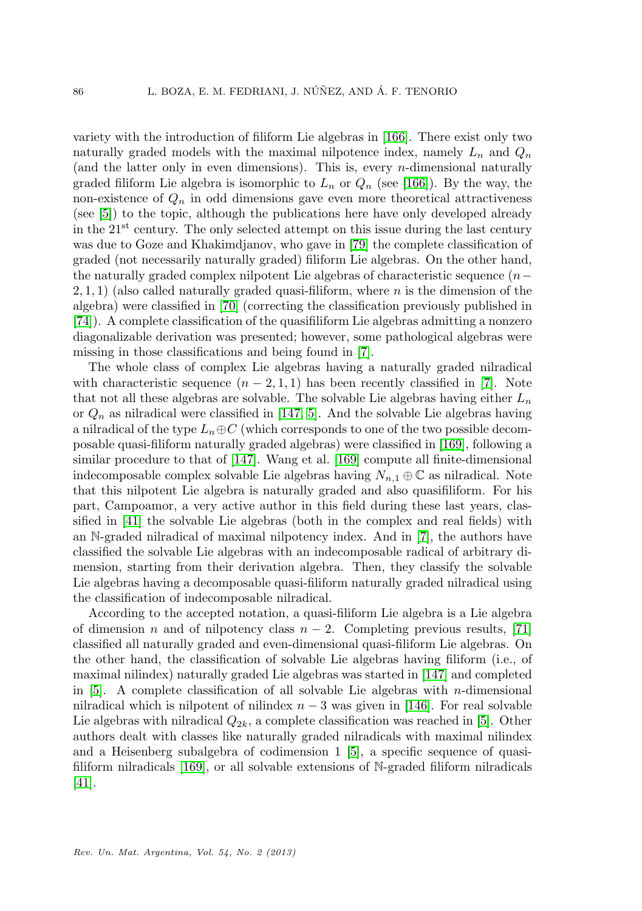variety with the introduction of filiform Lie algebras in [\[166\]](#page-23-16). There exist only two naturally graded models with the maximal nilpotence index, namely  $L_n$  and  $Q_n$ (and the latter only in even dimensions). This is, every  $n$ -dimensional naturally graded filiform Lie algebra is isomorphic to  $L_n$  or  $Q_n$  (see [\[166\]](#page-23-16)). By the way, the non-existence of  $Q_n$  in odd dimensions gave even more theoretical attractiveness (see [\[5\]](#page-17-7)) to the topic, although the publications here have only developed already in the  $21<sup>st</sup>$  century. The only selected attempt on this issue during the last century was due to Goze and Khakimdjanov, who gave in [\[79\]](#page-20-12) the complete classification of graded (not necessarily naturally graded) filiform Lie algebras. On the other hand, the naturally graded complex nilpotent Lie algebras of characteristic sequence (n− 2, 1, 1) (also called naturally graded quasi-filiform, where n is the dimension of the algebra) were classified in [\[70\]](#page-19-10) (correcting the classification previously published in [\[74\]](#page-20-13)). A complete classification of the quasifiliform Lie algebras admitting a nonzero diagonalizable derivation was presented; however, some pathological algebras were missing in those classifications and being found in [\[7\]](#page-17-8).

The whole class of complex Lie algebras having a naturally graded nilradical with characteristic sequence  $(n-2,1,1)$  has been recently classified in [\[7\]](#page-17-8). Note that not all these algebras are solvable. The solvable Lie algebras having either  $L_n$ or  $Q_n$  as nilradical were classified in [\[147,](#page-23-10) [5\]](#page-17-7). And the solvable Lie algebras having a nilradical of the type  $L_n \oplus C$  (which corresponds to one of the two possible decomposable quasi-filiform naturally graded algebras) were classified in [\[169\]](#page-24-4), following a similar procedure to that of [\[147\]](#page-23-10). Wang et al. [\[169\]](#page-24-4) compute all finite-dimensional indecomposable complex solvable Lie algebras having  $N_{n,1} \oplus \mathbb{C}$  as nilradical. Note that this nilpotent Lie algebra is naturally graded and also quasifiliform. For his part, Campoamor, a very active author in this field during these last years, classified in [\[41\]](#page-18-17) the solvable Lie algebras (both in the complex and real fields) with an N-graded nilradical of maximal nilpotency index. And in [\[7\]](#page-17-8), the authors have classified the solvable Lie algebras with an indecomposable radical of arbitrary dimension, starting from their derivation algebra. Then, they classify the solvable Lie algebras having a decomposable quasi-filiform naturally graded nilradical using the classification of indecomposable nilradical.

According to the accepted notation, a quasi-filiform Lie algebra is a Lie algebra of dimension n and of nilpotency class  $n-2$ . Completing previous results, [\[71\]](#page-19-11) classified all naturally graded and even-dimensional quasi-filiform Lie algebras. On the other hand, the classification of solvable Lie algebras having filiform (i.e., of maximal nilindex) naturally graded Lie algebras was started in [\[147\]](#page-23-10) and completed in  $[5]$ . A complete classification of all solvable Lie algebras with *n*-dimensional nilradical which is nilpotent of nilindex  $n-3$  was given in [\[146\]](#page-23-12). For real solvable Lie algebras with nilradical  $Q_{2k}$ , a complete classification was reached in [\[5\]](#page-17-7). Other authors dealt with classes like naturally graded nilradicals with maximal nilindex and a Heisenberg subalgebra of codimension 1 [\[5\]](#page-17-7), a specific sequence of quasifiliform nilradicals [\[169\]](#page-24-4), or all solvable extensions of N-graded filiform nilradicals [\[41\]](#page-18-17).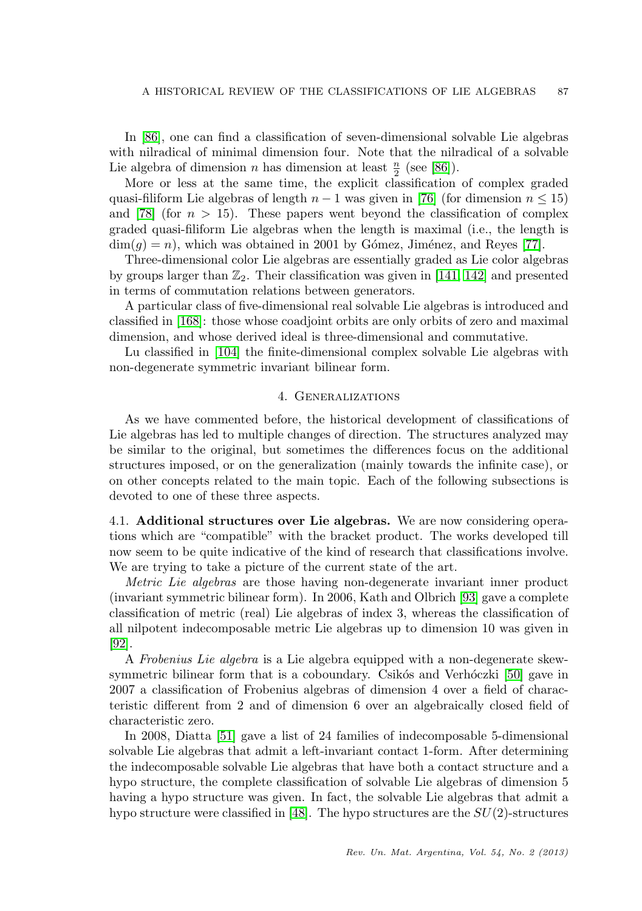In [\[86\]](#page-20-14), one can find a classification of seven-dimensional solvable Lie algebras with nilradical of minimal dimension four. Note that the nilradical of a solvable Lie algebra of dimension n has dimension at least  $\frac{n}{2}$  (see [\[86\]](#page-20-14)).

More or less at the same time, the explicit classification of complex graded quasi-filiform Lie algebras of length  $n-1$  was given in [\[76\]](#page-20-15) (for dimension  $n \leq 15$ ) and [\[78\]](#page-20-16) (for  $n > 15$ ). These papers went beyond the classification of complex graded quasi-filiform Lie algebras when the length is maximal (i.e., the length is  $\dim(q) = n$ , which was obtained in 2001 by Gómez, Jiménez, and Reyes [\[77\]](#page-20-17).

Three-dimensional color Lie algebras are essentially graded as Lie color algebras by groups larger than  $\mathbb{Z}_2$ . Their classification was given in [\[141,](#page-22-16) [142\]](#page-22-17) and presented in terms of commutation relations between generators.

A particular class of five-dimensional real solvable Lie algebras is introduced and classified in [\[168\]](#page-24-5): those whose coadjoint orbits are only orbits of zero and maximal dimension, and whose derived ideal is three-dimensional and commutative.

Lu classified in [\[104\]](#page-21-17) the finite-dimensional complex solvable Lie algebras with non-degenerate symmetric invariant bilinear form.

## 4. Generalizations

As we have commented before, the historical development of classifications of Lie algebras has led to multiple changes of direction. The structures analyzed may be similar to the original, but sometimes the differences focus on the additional structures imposed, or on the generalization (mainly towards the infinite case), or on other concepts related to the main topic. Each of the following subsections is devoted to one of these three aspects.

4.1. Additional structures over Lie algebras. We are now considering operations which are "compatible" with the bracket product. The works developed till now seem to be quite indicative of the kind of research that classifications involve. We are trying to take a picture of the current state of the art.

Metric Lie algebras are those having non-degenerate invariant inner product (invariant symmetric bilinear form). In 2006, Kath and Olbrich [\[93\]](#page-20-18) gave a complete classification of metric (real) Lie algebras of index 3, whereas the classification of all nilpotent indecomposable metric Lie algebras up to dimension 10 was given in [\[92\]](#page-20-11).

A Frobenius Lie algebra is a Lie algebra equipped with a non-degenerate skewsymmetric bilinear form that is a coboundary. Csikós and Verhóczki  $[50]$  gave in 2007 a classification of Frobenius algebras of dimension 4 over a field of characteristic different from 2 and of dimension 6 over an algebraically closed field of characteristic zero.

In 2008, Diatta [\[51\]](#page-19-13) gave a list of 24 families of indecomposable 5-dimensional solvable Lie algebras that admit a left-invariant contact 1-form. After determining the indecomposable solvable Lie algebras that have both a contact structure and a hypo structure, the complete classification of solvable Lie algebras of dimension 5 having a hypo structure was given. In fact, the solvable Lie algebras that admit a hypo structure were classified in [\[48\]](#page-18-18). The hypo structures are the  $SU(2)$ -structures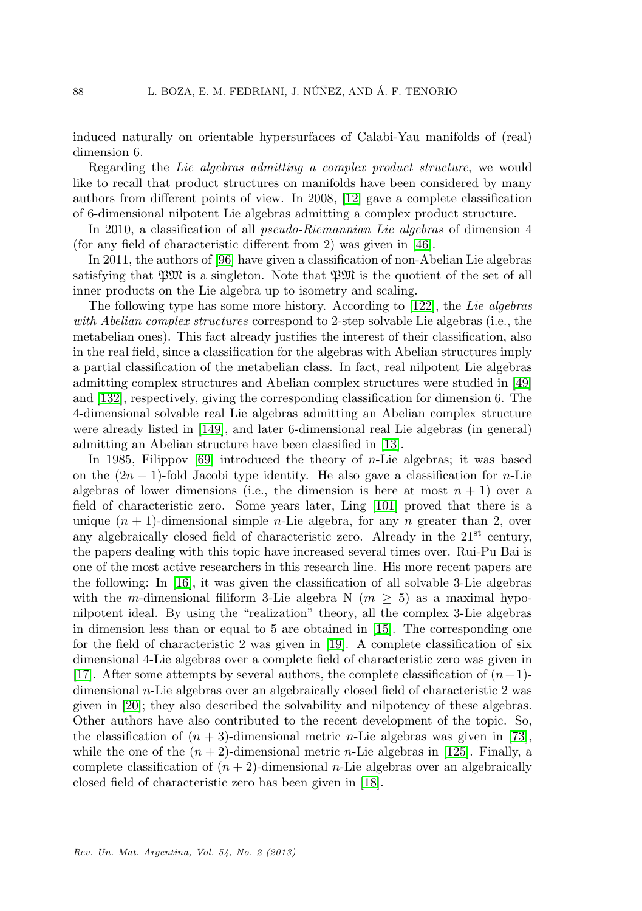induced naturally on orientable hypersurfaces of Calabi-Yau manifolds of (real) dimension 6.

Regarding the Lie algebras admitting a complex product structure, we would like to recall that product structures on manifolds have been considered by many authors from different points of view. In 2008, [\[12\]](#page-17-9) gave a complete classification of 6-dimensional nilpotent Lie algebras admitting a complex product structure.

In 2010, a classification of all pseudo-Riemannian Lie algebras of dimension 4 (for any field of characteristic different from 2) was given in [\[46\]](#page-18-19).

In 2011, the authors of [\[96\]](#page-20-19) have given a classification of non-Abelian Lie algebras satisfying that  $\mathfrak{P} \mathfrak{M}$  is a singleton. Note that  $\mathfrak{P} \mathfrak{M}$  is the quotient of the set of all inner products on the Lie algebra up to isometry and scaling.

The following type has some more history. According to [\[122\]](#page-22-18), the Lie algebras with Abelian complex structures correspond to 2-step solvable Lie algebras (i.e., the metabelian ones). This fact already justifies the interest of their classification, also in the real field, since a classification for the algebras with Abelian structures imply a partial classification of the metabelian class. In fact, real nilpotent Lie algebras admitting complex structures and Abelian complex structures were studied in [\[49\]](#page-18-20) and [\[132\]](#page-22-19), respectively, giving the corresponding classification for dimension 6. The 4-dimensional solvable real Lie algebras admitting an Abelian complex structure were already listed in [\[149\]](#page-23-22), and later 6-dimensional real Lie algebras (in general) admitting an Abelian structure have been classified in [\[13\]](#page-17-10).

In 1985, Filippov  $[69]$  introduced the theory of *n*-Lie algebras; it was based on the  $(2n - 1)$ -fold Jacobi type identity. He also gave a classification for *n*-Lie algebras of lower dimensions (i.e., the dimension is here at most  $n + 1$ ) over a field of characteristic zero. Some years later, Ling [\[101\]](#page-21-18) proved that there is a unique  $(n + 1)$ -dimensional simple *n*-Lie algebra, for any *n* greater than 2, over any algebraically closed field of characteristic zero. Already in the  $21^{st}$  century, the papers dealing with this topic have increased several times over. Rui-Pu Bai is one of the most active researchers in this research line. His more recent papers are the following: In  $|16|$ , it was given the classification of all solvable 3-Lie algebras with the m-dimensional filiform 3-Lie algebra N ( $m \geq 5$ ) as a maximal hyponilpotent ideal. By using the "realization" theory, all the complex 3-Lie algebras in dimension less than or equal to 5 are obtained in [\[15\]](#page-17-12). The corresponding one for the field of characteristic 2 was given in [\[19\]](#page-17-13). A complete classification of six dimensional 4-Lie algebras over a complete field of characteristic zero was given in [\[17\]](#page-17-14). After some attempts by several authors, the complete classification of  $(n+1)$ dimensional n-Lie algebras over an algebraically closed field of characteristic 2 was given in [\[20\]](#page-17-15); they also described the solvability and nilpotency of these algebras. Other authors have also contributed to the recent development of the topic. So, the classification of  $(n + 3)$ -dimensional metric *n*-Lie algebras was given in [\[73\]](#page-19-15), while the one of the  $(n+2)$ -dimensional metric *n*-Lie algebras in [\[125\]](#page-22-20). Finally, a complete classification of  $(n + 2)$ -dimensional *n*-Lie algebras over an algebraically closed field of characteristic zero has been given in [\[18\]](#page-17-16).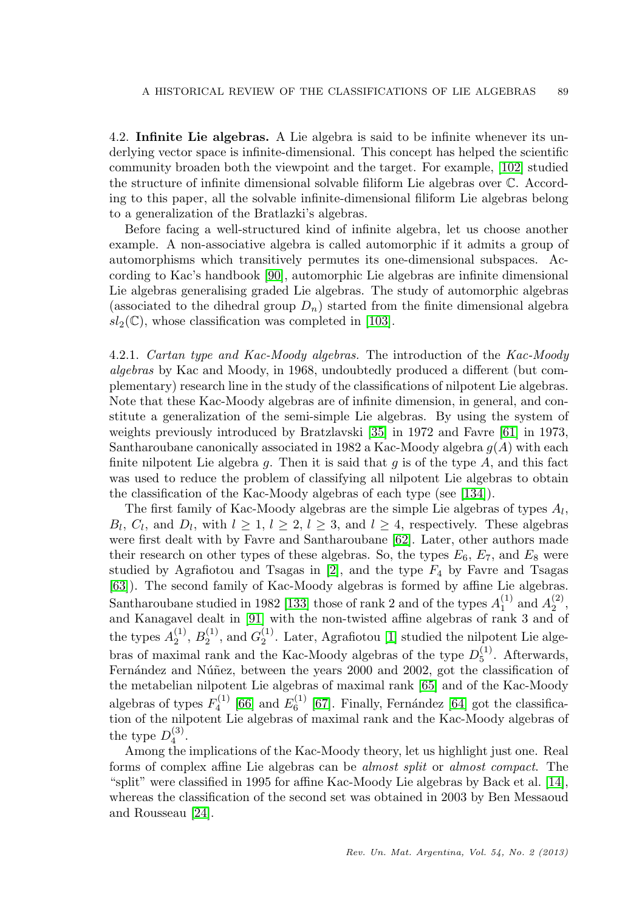4.2. Infinite Lie algebras. A Lie algebra is said to be infinite whenever its underlying vector space is infinite-dimensional. This concept has helped the scientific community broaden both the viewpoint and the target. For example, [\[102\]](#page-21-19) studied the structure of infinite dimensional solvable filiform Lie algebras over C. According to this paper, all the solvable infinite-dimensional filiform Lie algebras belong to a generalization of the Bratlazki's algebras.

Before facing a well-structured kind of infinite algebra, let us choose another example. A non-associative algebra is called automorphic if it admits a group of automorphisms which transitively permutes its one-dimensional subspaces. According to Kac's handbook [\[90\]](#page-20-20), automorphic Lie algebras are infinite dimensional Lie algebras generalising graded Lie algebras. The study of automorphic algebras (associated to the dihedral group  $D_n$ ) started from the finite dimensional algebra  $sl_2(\mathbb{C})$ , whose classification was completed in [\[103\]](#page-21-20).

4.2.1. Cartan type and Kac-Moody algebras. The introduction of the Kac-Moody algebras by Kac and Moody, in 1968, undoubtedly produced a different (but complementary) research line in the study of the classifications of nilpotent Lie algebras. Note that these Kac-Moody algebras are of infinite dimension, in general, and constitute a generalization of the semi-simple Lie algebras. By using the system of weights previously introduced by Bratzlavski [\[35\]](#page-18-21) in 1972 and Favre [\[61\]](#page-19-6) in 1973, Santharoubane canonically associated in 1982 a Kac-Moody algebra  $g(A)$  with each finite nilpotent Lie algebra  $g$ . Then it is said that  $g$  is of the type  $A$ , and this fact was used to reduce the problem of classifying all nilpotent Lie algebras to obtain the classification of the Kac-Moody algebras of each type (see [\[134\]](#page-22-21)).

The first family of Kac-Moody algebras are the simple Lie algebras of types  $A_l$ ,  $B_l, C_l$ , and  $D_l$ , with  $l \geq 1, l \geq 2, l \geq 3$ , and  $l \geq 4$ , respectively. These algebras were first dealt with by Favre and Santharoubane [\[62\]](#page-19-16). Later, other authors made their research on other types of these algebras. So, the types  $E_6$ ,  $E_7$ , and  $E_8$  were studied by Agrafiotou and Tsagas in  $[2]$ , and the type  $F_4$  by Favre and Tsagas [\[63\]](#page-19-17)). The second family of Kac-Moody algebras is formed by affine Lie algebras. Santharoubane studied in 1982 [\[133\]](#page-22-5) those of rank 2 and of the types  $A_1^{(1)}$  and  $A_2^{(2)}$ , and Kanagavel dealt in [\[91\]](#page-20-21) with the non-twisted affine algebras of rank 3 and of the types  $A_2^{(1)}$ ,  $B_2^{(1)}$ , and  $G_2^{(1)}$ . Later, Agrafiotou [\[1\]](#page-16-3) studied the nilpotent Lie algebras of maximal rank and the Kac-Moody algebras of the type  $D_5^{(1)}$ . Afterwards, Fernández and Núñez, between the years 2000 and 2002, got the classification of the metabelian nilpotent Lie algebras of maximal rank [\[65\]](#page-19-18) and of the Kac-Moody algebras of types  $F_4^{(1)}$  [\[66\]](#page-19-19) and  $E_6^{(1)}$  [\[67\]](#page-19-20). Finally, Fernández [\[64\]](#page-19-21) got the classification of the nilpotent Lie algebras of maximal rank and the Kac-Moody algebras of the type  $D_4^{(3)}$ .

Among the implications of the Kac-Moody theory, let us highlight just one. Real forms of complex affine Lie algebras can be almost split or almost compact. The "split" were classified in 1995 for affine Kac-Moody Lie algebras by Back et al. [\[14\]](#page-17-17), whereas the classification of the second set was obtained in 2003 by Ben Messaoud and Rousseau [\[24\]](#page-17-18).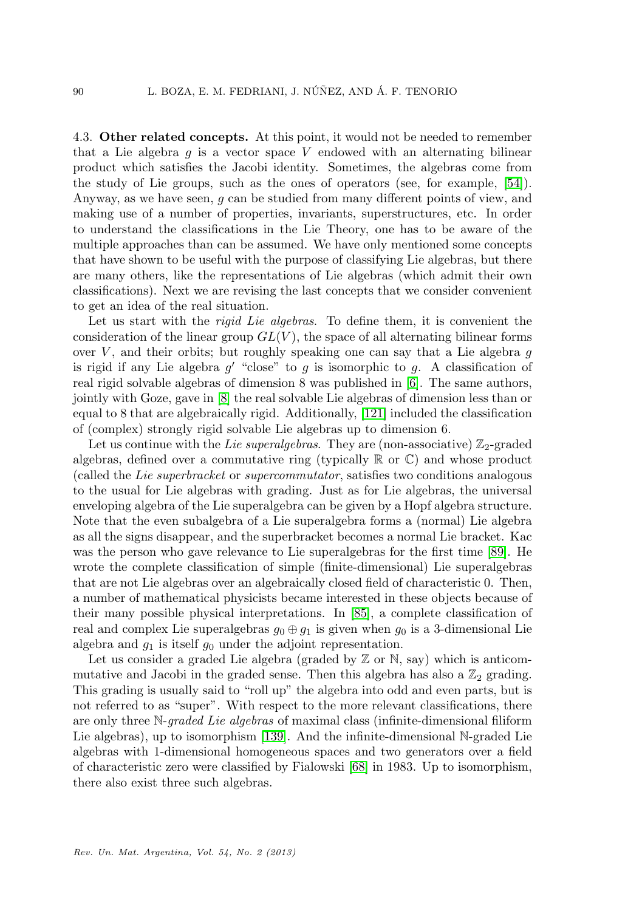4.3. Other related concepts. At this point, it would not be needed to remember that a Lie algebra  $q$  is a vector space V endowed with an alternating bilinear product which satisfies the Jacobi identity. Sometimes, the algebras come from the study of Lie groups, such as the ones of operators (see, for example, [\[54\]](#page-19-22)). Anyway, as we have seen, g can be studied from many different points of view, and making use of a number of properties, invariants, superstructures, etc. In order to understand the classifications in the Lie Theory, one has to be aware of the multiple approaches than can be assumed. We have only mentioned some concepts that have shown to be useful with the purpose of classifying Lie algebras, but there are many others, like the representations of Lie algebras (which admit their own classifications). Next we are revising the last concepts that we consider convenient to get an idea of the real situation.

Let us start with the *rigid Lie algebras*. To define them, it is convenient the consideration of the linear group  $GL(V)$ , the space of all alternating bilinear forms over V, and their orbits; but roughly speaking one can say that a Lie algebra  $q$ is rigid if any Lie algebra  $g'$  "close" to g is isomorphic to g. A classification of real rigid solvable algebras of dimension 8 was published in [\[6\]](#page-17-19). The same authors, jointly with Goze, gave in [\[8\]](#page-17-20) the real solvable Lie algebras of dimension less than or equal to 8 that are algebraically rigid. Additionally, [\[121\]](#page-22-22) included the classification of (complex) strongly rigid solvable Lie algebras up to dimension 6.

Let us continue with the Lie superalgebras. They are (non-associative)  $\mathbb{Z}_2$ -graded algebras, defined over a commutative ring (typically  $\mathbb R$  or  $\mathbb C$ ) and whose product (called the Lie superbracket or supercommutator, satisfies two conditions analogous to the usual for Lie algebras with grading. Just as for Lie algebras, the universal enveloping algebra of the Lie superalgebra can be given by a Hopf algebra structure. Note that the even subalgebra of a Lie superalgebra forms a (normal) Lie algebra as all the signs disappear, and the superbracket becomes a normal Lie bracket. Kac was the person who gave relevance to Lie superalgebras for the first time [\[89\]](#page-20-22). He wrote the complete classification of simple (finite-dimensional) Lie superalgebras that are not Lie algebras over an algebraically closed field of characteristic 0. Then, a number of mathematical physicists became interested in these objects because of their many possible physical interpretations. In [\[85\]](#page-20-23), a complete classification of real and complex Lie superalgebras  $g_0 \oplus g_1$  is given when  $g_0$  is a 3-dimensional Lie algebra and  $q_1$  is itself  $q_0$  under the adjoint representation.

Let us consider a graded Lie algebra (graded by  $\mathbb{Z}$  or  $\mathbb{N}$ , say) which is anticommutative and Jacobi in the graded sense. Then this algebra has also a  $\mathbb{Z}_2$  grading. This grading is usually said to "roll up" the algebra into odd and even parts, but is not referred to as "super". With respect to the more relevant classifications, there are only three N-graded Lie algebras of maximal class (infinite-dimensional filiform Lie algebras), up to isomorphism [\[139\]](#page-22-12). And the infinite-dimensional N-graded Lie algebras with 1-dimensional homogeneous spaces and two generators over a field of characteristic zero were classified by Fialowski [\[68\]](#page-19-23) in 1983. Up to isomorphism, there also exist three such algebras.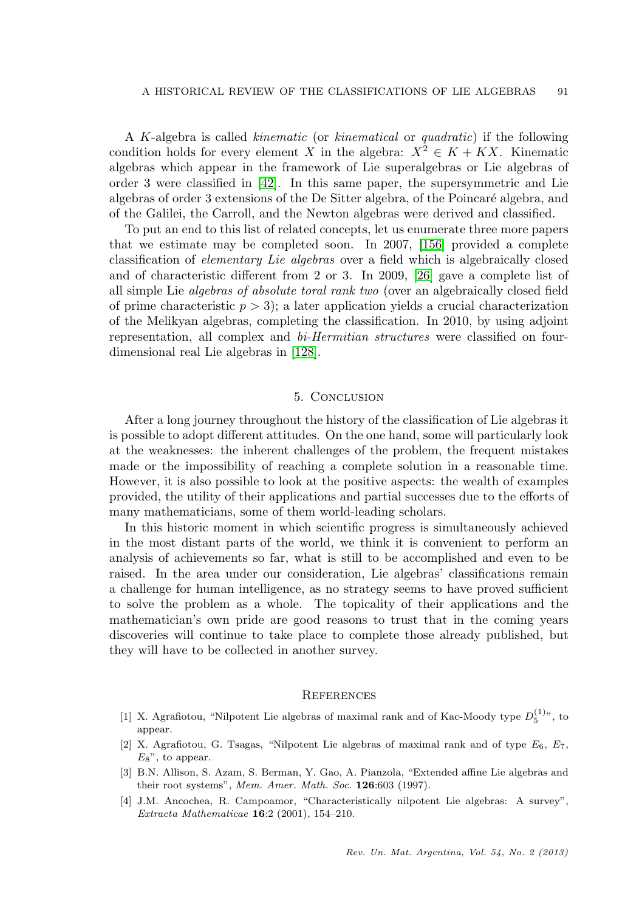A K-algebra is called kinematic (or kinematical or quadratic) if the following condition holds for every element X in the algebra:  $X^2 \in K + KX$ . Kinematic algebras which appear in the framework of Lie superalgebras or Lie algebras of order 3 were classified in [\[42\]](#page-18-22). In this same paper, the supersymmetric and Lie algebras of order 3 extensions of the De Sitter algebra, of the Poincaré algebra, and of the Galilei, the Carroll, and the Newton algebras were derived and classified.

To put an end to this list of related concepts, let us enumerate three more papers that we estimate may be completed soon. In 2007, [\[156\]](#page-23-23) provided a complete classification of elementary Lie algebras over a field which is algebraically closed and of characteristic different from 2 or 3. In 2009, [\[26\]](#page-18-23) gave a complete list of all simple Lie algebras of absolute toral rank two (over an algebraically closed field of prime characteristic  $p > 3$ ; a later application yields a crucial characterization of the Melikyan algebras, completing the classification. In 2010, by using adjoint representation, all complex and bi-Hermitian structures were classified on fourdimensional real Lie algebras in [\[128\]](#page-22-23).

# 5. Conclusion

After a long journey throughout the history of the classification of Lie algebras it is possible to adopt different attitudes. On the one hand, some will particularly look at the weaknesses: the inherent challenges of the problem, the frequent mistakes made or the impossibility of reaching a complete solution in a reasonable time. However, it is also possible to look at the positive aspects: the wealth of examples provided, the utility of their applications and partial successes due to the efforts of many mathematicians, some of them world-leading scholars.

In this historic moment in which scientific progress is simultaneously achieved in the most distant parts of the world, we think it is convenient to perform an analysis of achievements so far, what is still to be accomplished and even to be raised. In the area under our consideration, Lie algebras' classifications remain a challenge for human intelligence, as no strategy seems to have proved sufficient to solve the problem as a whole. The topicality of their applications and the mathematician's own pride are good reasons to trust that in the coming years discoveries will continue to take place to complete those already published, but they will have to be collected in another survey.

### **REFERENCES**

- <span id="page-16-3"></span>[1] X. Agrafiotou, "Nilpotent Lie algebras of maximal rank and of Kac-Moody type  $D_5^{(1)}$ ", to appear.
- <span id="page-16-2"></span>[2] X. Agrafiotou, G. Tsagas, "Nilpotent Lie algebras of maximal rank and of type  $E_6$ ,  $E_7$ ,  $E_8$ ", to appear.
- <span id="page-16-0"></span>[3] B.N. Allison, S. Azam, S. Berman, Y. Gao, A. Pianzola, "Extended affine Lie algebras and their root systems", Mem. Amer. Math. Soc. 126:603 (1997).
- <span id="page-16-1"></span>[4] J.M. Ancochea, R. Campoamor, "Characteristically nilpotent Lie algebras: A survey", Extracta Mathematicae 16:2 (2001), 154–210.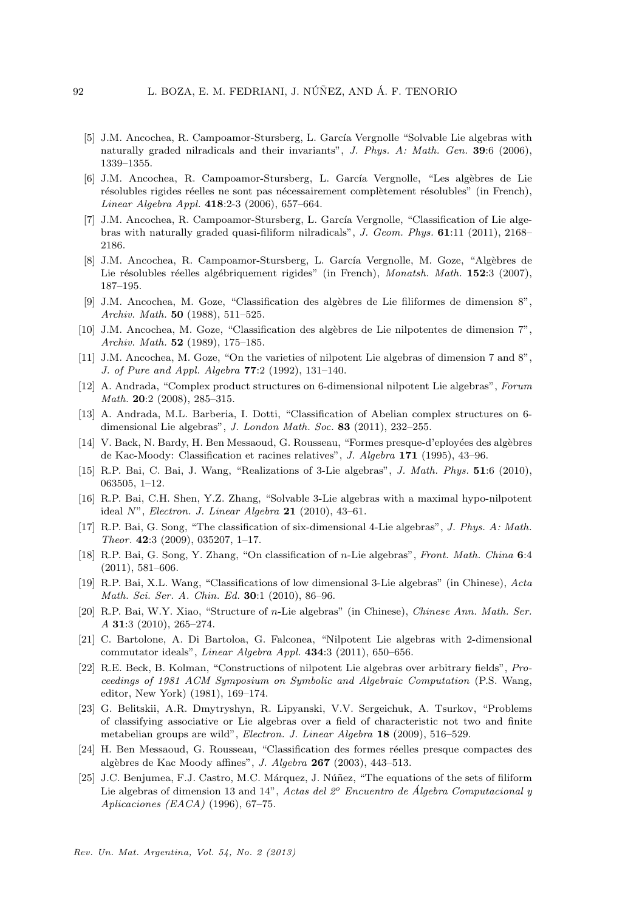- <span id="page-17-7"></span>[5] J.M. Ancochea, R. Campoamor-Stursberg, L. García Vergnolle "Solvable Lie algebras with naturally graded nilradicals and their invariants", J. Phys. A: Math. Gen. 39:6 (2006), 1339–1355.
- <span id="page-17-19"></span>[6] J.M. Ancochea, R. Campoamor-Stursberg, L. García Vergnolle, "Les algèbres de Lie résolubles rigides réelles ne sont pas nécessairement complètement résolubles" (in French), Linear Algebra Appl. 418:2-3 (2006), 657–664.
- <span id="page-17-8"></span>[7] J.M. Ancochea, R. Campoamor-Stursberg, L. García Vergnolle, "Classification of Lie algebras with naturally graded quasi-filiform nilradicals", J. Geom. Phys. 61:11 (2011), 2168– 2186.
- <span id="page-17-20"></span>[8] J.M. Ancochea, R. Campoamor-Stursberg, L. García Vergnolle, M. Goze, "Algèbres de Lie résolubles réelles algébriquement rigides" (in French), Monatsh. Math. 152:3 (2007), 187–195.
- <span id="page-17-2"></span>[9] J.M. Ancochea, M. Goze, "Classification des alg`ebres de Lie filiformes de dimension 8", Archiv. Math. 50 (1988), 511–525.
- <span id="page-17-1"></span>[10] J.M. Ancochea, M. Goze, "Classification des algèbres de Lie nilpotentes de dimension 7", Archiv. Math. 52 (1989), 175–185.
- <span id="page-17-3"></span>[11] J.M. Ancochea, M. Goze, "On the varieties of nilpotent Lie algebras of dimension 7 and 8", J. of Pure and Appl. Algebra 77:2 (1992), 131–140.
- <span id="page-17-9"></span>[12] A. Andrada, "Complex product structures on 6-dimensional nilpotent Lie algebras", Forum Math. 20:2 (2008), 285–315.
- <span id="page-17-10"></span>[13] A. Andrada, M.L. Barberia, I. Dotti, "Classification of Abelian complex structures on 6 dimensional Lie algebras", J. London Math. Soc. 83 (2011), 232-255.
- <span id="page-17-17"></span>[14] V. Back, N. Bardy, H. Ben Messaoud, G. Rousseau, "Formes presque-d'eployées des algèbres de Kac-Moody: Classification et racines relatives", J. Algebra 171 (1995), 43–96.
- <span id="page-17-12"></span>[15] R.P. Bai, C. Bai, J. Wang, "Realizations of 3-Lie algebras", J. Math. Phys. 51:6 (2010), 063505, 1–12.
- <span id="page-17-11"></span>[16] R.P. Bai, C.H. Shen, Y.Z. Zhang, "Solvable 3-Lie algebras with a maximal hypo-nilpotent ideal  $N$ ", *Electron. J. Linear Algebra* 21 (2010), 43-61.
- <span id="page-17-14"></span>[17] R.P. Bai, G. Song, "The classification of six-dimensional 4-Lie algebras", J. Phys. A: Math. Theor. 42:3 (2009), 035207, 1–17.
- <span id="page-17-16"></span>[18] R.P. Bai, G. Song, Y. Zhang, "On classification of n-Lie algebras", Front. Math. China 6:4  $(2011), 581-606.$
- <span id="page-17-13"></span>[19] R.P. Bai, X.L. Wang, "Classifications of low dimensional 3-Lie algebras" (in Chinese), Acta Math. Sci. Ser. A. Chin. Ed. 30:1 (2010), 86–96.
- <span id="page-17-15"></span>[20] R.P. Bai, W.Y. Xiao, "Structure of n-Lie algebras" (in Chinese), Chinese Ann. Math. Ser. A 31:3 (2010), 265–274.
- <span id="page-17-5"></span>[21] C. Bartolone, A. Di Bartoloa, G. Falconea, "Nilpotent Lie algebras with 2-dimensional commutator ideals", Linear Algebra Appl. 434:3 (2011), 650–656.
- <span id="page-17-0"></span>[22] R.E. Beck, B. Kolman, "Constructions of nilpotent Lie algebras over arbitrary fields", Proceedings of 1981 ACM Symposium on Symbolic and Algebraic Computation (P.S. Wang, editor, New York) (1981), 169–174.
- <span id="page-17-6"></span>[23] G. Belitskii, A.R. Dmytryshyn, R. Lipyanski, V.V. Sergeichuk, A. Tsurkov, "Problems of classifying associative or Lie algebras over a field of characteristic not two and finite metabelian groups are wild", Electron. J. Linear Algebra 18 (2009), 516–529.
- <span id="page-17-18"></span>[24] H. Ben Messaoud, G. Rousseau, "Classification des formes réelles presque compactes des alg`ebres de Kac Moody affines", J. Algebra 267 (2003), 443–513.
- <span id="page-17-4"></span>[25] J.C. Benjumea, F.J. Castro, M.C. Márquez, J. Núñez, "The equations of the sets of filiform Lie algebras of dimension 13 and 14", Actas del  $2^o$  Encuentro de Álgebra Computacional y Aplicaciones (EACA) (1996), 67–75.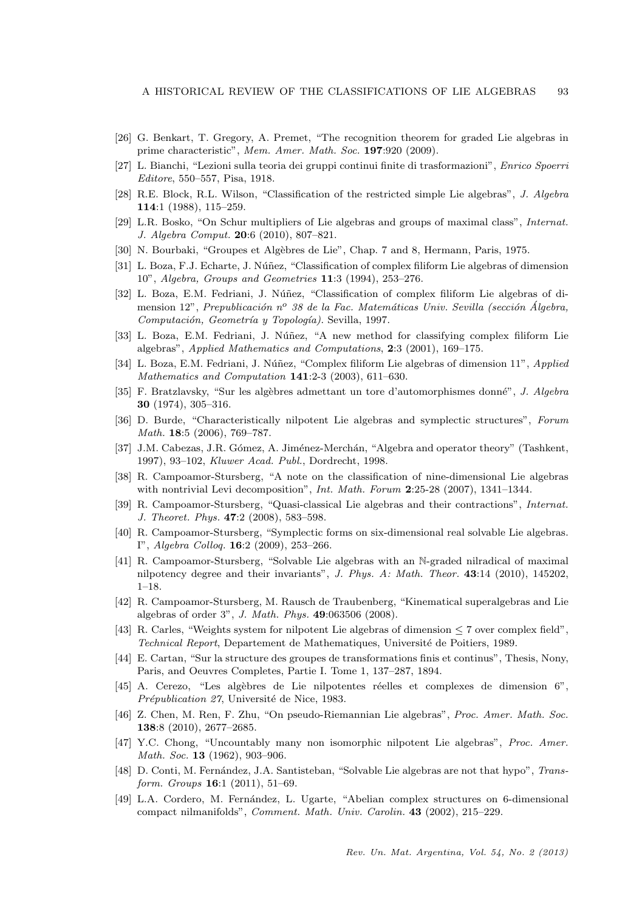- <span id="page-18-23"></span>[26] G. Benkart, T. Gregory, A. Premet, "The recognition theorem for graded Lie algebras in prime characteristic", Mem. Amer. Math. Soc. 197:920 (2009).
- <span id="page-18-1"></span>[27] L. Bianchi, "Lezioni sulla teoria dei gruppi continui finite di trasformazioni", Enrico Spoerri Editore, 550–557, Pisa, 1918.
- <span id="page-18-2"></span>[28] R.E. Block, R.L. Wilson, "Classification of the restricted simple Lie algebras", J. Algebra 114:1 (1988), 115–259.
- <span id="page-18-15"></span>[29] L.R. Bosko, "On Schur multipliers of Lie algebras and groups of maximal class", Internat. J. Algebra Comput. 20:6 (2010), 807–821.
- <span id="page-18-7"></span>[30] N. Bourbaki, "Groupes et Algèbres de Lie", Chap. 7 and 8, Hermann, Paris, 1975.
- <span id="page-18-11"></span>[31] L. Boza, F.J. Echarte, J. Núñez, "Classification of complex filiform Lie algebras of dimension 10", Algebra, Groups and Geometries 11:3 (1994), 253–276.
- <span id="page-18-12"></span>[32] L. Boza, E.M. Fedriani, J. Núñez, "Classification of complex filiform Lie algebras of dimension 12", Prepublicación n<sup>o</sup> 38 de la Fac. Matemáticas Univ. Sevilla (sección Álgebra, Computación, Geometría y Topología). Sevilla, 1997.
- <span id="page-18-14"></span>[33] L. Boza, E.M. Fedriani, J. Núñez, "A new method for classifying complex filiform Lie algebras", Applied Mathematics and Computations, 2:3 (2001), 169–175.
- <span id="page-18-13"></span>[34] L. Boza, E.M. Fedriani, J. Núñez, "Complex filiform Lie algebras of dimension 11", Applied Mathematics and Computation 141:2-3 (2003), 611–630.
- <span id="page-18-21"></span>[35] F. Bratzlavsky, "Sur les algèbres admettant un tore d'automorphismes donné", J. Algebra 30 (1974), 305–316.
- <span id="page-18-3"></span>[36] D. Burde, "Characteristically nilpotent Lie algebras and symplectic structures", Forum Math. 18:5 (2006), 769–787.
- <span id="page-18-16"></span>[37] J.M. Cabezas, J.R. Gómez, A. Jiménez-Merchán, "Algebra and operator theory" (Tashkent, 1997), 93–102, Kluwer Acad. Publ., Dordrecht, 1998.
- <span id="page-18-6"></span>[38] R. Campoamor-Stursberg, "A note on the classification of nine-dimensional Lie algebras with nontrivial Levi decomposition", Int. Math. Forum 2:25-28 (2007), 1341-1344.
- <span id="page-18-5"></span>[39] R. Campoamor-Stursberg, "Quasi-classical Lie algebras and their contractions", Internat. J. Theoret. Phys. 47:2 (2008), 583–598.
- <span id="page-18-4"></span>[40] R. Campoamor-Stursberg, "Symplectic forms on six-dimensional real solvable Lie algebras. I", Algebra Colloq. 16:2 (2009), 253–266.
- <span id="page-18-17"></span>[41] R. Campoamor-Stursberg, "Solvable Lie algebras with an N-graded nilradical of maximal nilpotency degree and their invariants", J. Phys. A: Math. Theor. 43:14 (2010), 145202, 1–18.
- <span id="page-18-22"></span>[42] R. Campoamor-Stursberg, M. Rausch de Traubenberg, "Kinematical superalgebras and Lie algebras of order 3", J. Math. Phys. 49:063506 (2008).
- <span id="page-18-10"></span>[43] R. Carles, "Weights system for nilpotent Lie algebras of dimension  $\leq$  7 over complex field", Technical Report, Departement de Mathematiques, Universit´e de Poitiers, 1989.
- <span id="page-18-0"></span>[44] E. Cartan, "Sur la structure des groupes de transformations finis et continus", Thesis, Nony, Paris, and Oeuvres Completes, Partie I. Tome 1, 137–287, 1894.
- <span id="page-18-9"></span>[45] A. Cerezo, "Les algèbres de Lie nilpotentes réelles et complexes de dimension 6", Prépublication 27, Université de Nice, 1983.
- <span id="page-18-19"></span>[46] Z. Chen, M. Ren, F. Zhu, "On pseudo-Riemannian Lie algebras", Proc. Amer. Math. Soc. 138:8 (2010), 2677–2685.
- <span id="page-18-8"></span>[47] Y.C. Chong, "Uncountably many non isomorphic nilpotent Lie algebras", Proc. Amer. Math. Soc. **13** (1962), 903-906.
- <span id="page-18-18"></span>[48] D. Conti, M. Fernández, J.A. Santisteban, "Solvable Lie algebras are not that hypo", Transform. Groups **16**:1 (2011), 51-69.
- <span id="page-18-20"></span>[49] L.A. Cordero, M. Fern´andez, L. Ugarte, "Abelian complex structures on 6-dimensional compact nilmanifolds", Comment. Math. Univ. Carolin. 43 (2002), 215–229.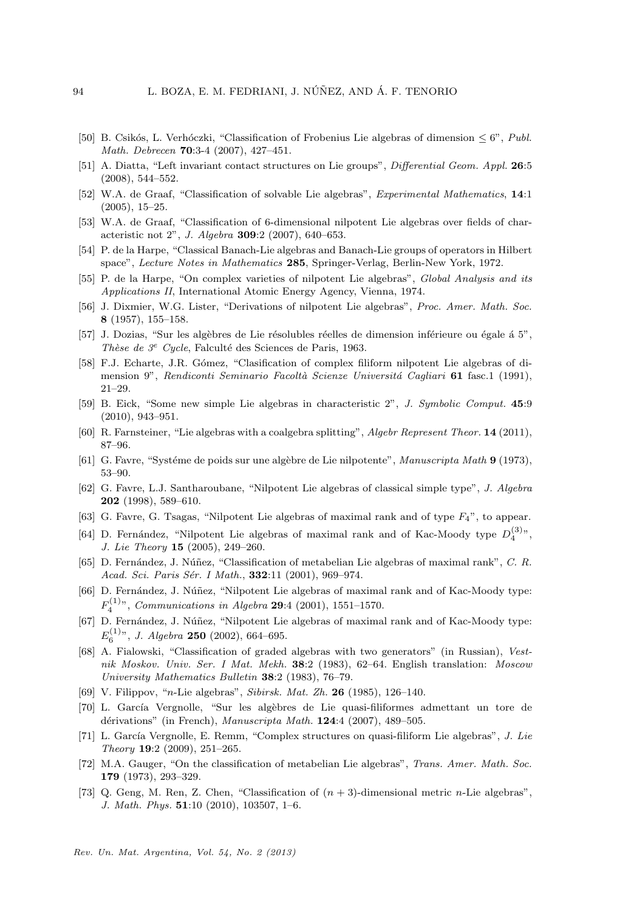- <span id="page-19-12"></span>[50] B. Csikós, L. Verhóczki, "Classification of Frobenius Lie algebras of dimension  $\leq 6$ ", Publ. Math. Debrecen 70:3-4 (2007), 427–451.
- <span id="page-19-13"></span>[51] A. Diatta, "Left invariant contact structures on Lie groups", Differential Geom. Appl. 26:5 (2008), 544–552.
- <span id="page-19-1"></span>[52] W.A. de Graaf, "Classification of solvable Lie algebras", Experimental Mathematics, 14:1 (2005), 15–25.
- <span id="page-19-4"></span>[53] W.A. de Graaf, "Classification of 6-dimensional nilpotent Lie algebras over fields of characteristic not 2", J. Algebra 309:2 (2007), 640–653.
- <span id="page-19-22"></span>[54] P. de la Harpe, "Classical Banach-Lie algebras and Banach-Lie groups of operators in Hilbert space", Lecture Notes in Mathematics 285, Springer-Verlag, Berlin-New York, 1972.
- <span id="page-19-8"></span>[55] P. de la Harpe, "On complex varieties of nilpotent Lie algebras", Global Analysis and its Applications II, International Atomic Energy Agency, Vienna, 1974.
- <span id="page-19-2"></span>[56] J. Dixmier, W.G. Lister, "Derivations of nilpotent Lie algebras", Proc. Amer. Math. Soc. 8 (1957), 155–158.
- <span id="page-19-0"></span>[57] J. Dozias, "Sur les algèbres de Lie résolubles réelles de dimension inférieure ou égale à 5", Thèse de  $3^e$  Cycle, Falculté des Sciences de Paris, 1963.
- <span id="page-19-9"></span>[58] F.J. Echarte, J.R. Gómez, "Clasification of complex filiform nilpotent Lie algebras of dimension 9", Rendiconti Seminario Facoltà Scienze Universitá Cagliari 61 fasc.1 (1991), 21–29.
- <span id="page-19-5"></span>[59] B. Eick, "Some new simple Lie algebras in characteristic 2", J. Symbolic Comput. 45:9 (2010), 943–951.
- <span id="page-19-3"></span>[60] R. Farnsteiner, "Lie algebras with a coalgebra splitting", Algebr Represent Theor. 14 (2011), 87–96.
- <span id="page-19-6"></span>[61] G. Favre, "Systéme de poids sur une algèbre de Lie nilpotente", Manuscripta Math 9 (1973), 53–90.
- <span id="page-19-16"></span>[62] G. Favre, L.J. Santharoubane, "Nilpotent Lie algebras of classical simple type", J. Algebra 202 (1998), 589–610.
- <span id="page-19-17"></span>[63] G. Favre, G. Tsagas, "Nilpotent Lie algebras of maximal rank and of type  $F_4$ ", to appear.
- <span id="page-19-21"></span>[64] D. Fernández, "Nilpotent Lie algebras of maximal rank and of Kac-Moody type  $D_4^{(3)}$ ", J. Lie Theory 15 (2005), 249–260.
- <span id="page-19-18"></span>[65] D. Fernández, J. Núñez, "Classification of metabelian Lie algebras of maximal rank", C. R. Acad. Sci. Paris Sér. I Math., 332:11 (2001), 969-974.
- <span id="page-19-19"></span>[66] D. Fernández, J. Núñez, "Nilpotent Lie algebras of maximal rank and of Kac-Moody type:  $F_4^{(1)}$ ", Communications in Algebra 29:4 (2001), 1551–1570.
- <span id="page-19-20"></span>[67] D. Fernández, J. Núñez, "Nilpotent Lie algebras of maximal rank and of Kac-Moody type:  $E_6^{(1)}$ ", J. Algebra 250 (2002), 664–695.
- <span id="page-19-23"></span>[68] A. Fialowski, "Classification of graded algebras with two generators" (in Russian), Vestnik Moskov. Univ. Ser. I Mat. Mekh. 38:2 (1983), 62–64. English translation: Moscow University Mathematics Bulletin 38:2 (1983), 76–79.
- <span id="page-19-14"></span>[69] V. Filippov, "n-Lie algebras", Sibirsk. Mat. Zh. 26 (1985), 126–140.
- <span id="page-19-10"></span>[70] L. Garc´ıa Vergnolle, "Sur les alg`ebres de Lie quasi-filiformes admettant un tore de dérivations" (in French), Manuscripta Math. 124:4 (2007), 489-505.
- <span id="page-19-11"></span>[71] L. García Vergnolle, E. Remm, "Complex structures on quasi-filiform Lie algebras", J. Lie Theory 19:2 (2009), 251–265.
- <span id="page-19-7"></span>[72] M.A. Gauger, "On the classification of metabelian Lie algebras", Trans. Amer. Math. Soc. 179 (1973), 293–329.
- <span id="page-19-15"></span>[73] Q. Geng, M. Ren, Z. Chen, "Classification of  $(n + 3)$ -dimensional metric *n*-Lie algebras", J. Math. Phys. 51:10 (2010), 103507, 1–6.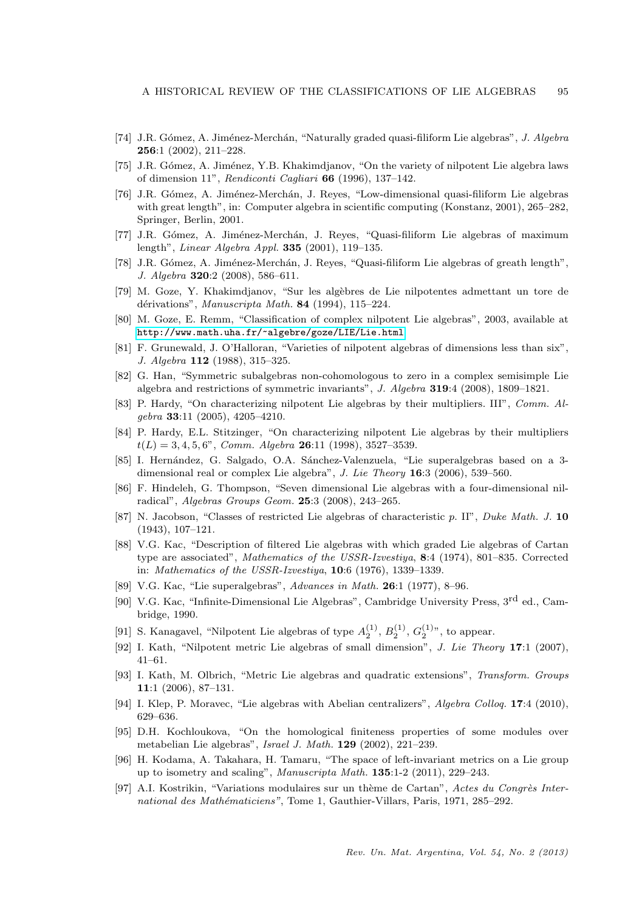- <span id="page-20-13"></span>[74] J.R. Gómez, A. Jiménez-Merchán, "Naturally graded quasi-filiform Lie algebras", J. Algebra 256:1 (2002), 211–228.
- <span id="page-20-7"></span>[75] J.R. Gómez, A. Jiménez, Y.B. Khakimdjanov, "On the variety of nilpotent Lie algebra laws of dimension 11", Rendiconti Cagliari 66 (1996), 137–142.
- <span id="page-20-15"></span>[76] J.R. Gómez, A. Jiménez-Merchán, J. Reyes, "Low-dimensional quasi-filiform Lie algebras with great length", in: Computer algebra in scientific computing (Konstanz, 2001), 265–282, Springer, Berlin, 2001.
- <span id="page-20-17"></span>[77] J.R. Gómez, A. Jiménez-Merchán, J. Reyes, "Quasi-filiform Lie algebras of maximum length", Linear Algebra Appl. 335 (2001), 119–135.
- <span id="page-20-16"></span>[78] J.R. Gómez, A. Jiménez-Merchán, J. Reyes, "Quasi-filiform Lie algebras of greath length", J. Algebra 320:2 (2008), 586–611.
- <span id="page-20-12"></span>[79] M. Goze, Y. Khakimdjanov, "Sur les alg`ebres de Lie nilpotentes admettant un tore de dérivations", Manuscripta Math. 84 (1994), 115-224.
- <span id="page-20-6"></span>[80] M. Goze, E. Remm, "Classification of complex nilpotent Lie algebras", 2003, available at <http://www.math.uha.fr/~algebre/goze/LIE/Lie.html>
- <span id="page-20-5"></span>[81] F. Grunewald, J. O'Halloran, "Varieties of nilpotent algebras of dimensions less than six", J. Algebra 112 (1988), 315–325.
- <span id="page-20-3"></span>[82] G. Han, "Symmetric subalgebras non-cohomologous to zero in a complex semisimple Lie algebra and restrictions of symmetric invariants", J. Algebra 319:4 (2008), 1809–1821.
- <span id="page-20-10"></span>[83] P. Hardy, "On characterizing nilpotent Lie algebras by their multipliers. III", Comm. Algebra 33:11 (2005), 4205–4210.
- <span id="page-20-9"></span>[84] P. Hardy, E.L. Stitzinger, "On characterizing nilpotent Lie algebras by their multipliers  $t(L) = 3, 4, 5, 6$ ", Comm. Algebra 26:11 (1998), 3527-3539.
- <span id="page-20-23"></span>[85] I. Hernández, G. Salgado, O.A. Sánchez-Valenzuela, "Lie superalgebras based on a 3dimensional real or complex Lie algebra", J. Lie Theory 16:3 (2006), 539-560.
- <span id="page-20-14"></span>[86] F. Hindeleh, G. Thompson, "Seven dimensional Lie algebras with a four-dimensional nilradical", Algebras Groups Geom. 25:3 (2008), 243–265.
- <span id="page-20-0"></span>[87] N. Jacobson, "Classes of restricted Lie algebras of characteristic p. II", Duke Math. J. 10 (1943), 107–121.
- <span id="page-20-1"></span>[88] V.G. Kac, "Description of filtered Lie algebras with which graded Lie algebras of Cartan type are associated", Mathematics of the USSR-Izvestiya, 8:4 (1974), 801–835. Corrected in: Mathematics of the USSR-Izvestiya, 10:6 (1976), 1339–1339.
- <span id="page-20-22"></span>[89] V.G. Kac, "Lie superalgebras", Advances in Math. 26:1 (1977), 8–96.
- <span id="page-20-20"></span>[90] V.G. Kac, "Infinite-Dimensional Lie Algebras", Cambridge University Press, 3rd ed., Cambridge, 1990.
- <span id="page-20-21"></span>[91] S. Kanagavel, "Nilpotent Lie algebras of type  $A_2^{(1)}$ ,  $B_2^{(1)}$ ,  $G_2^{(1)}$ ", to appear.
- <span id="page-20-11"></span>[92] I. Kath, "Nilpotent metric Lie algebras of small dimension", J. Lie Theory 17:1 (2007), 41–61.
- <span id="page-20-18"></span>[93] I. Kath, M. Olbrich, "Metric Lie algebras and quadratic extensions", Transform. Groups 11:1 (2006), 87–131.
- <span id="page-20-4"></span>[94] I. Klep, P. Moravec, "Lie algebras with Abelian centralizers", Algebra Colloq. 17:4 (2010), 629–636.
- <span id="page-20-8"></span>[95] D.H. Kochloukova, "On the homological finiteness properties of some modules over metabelian Lie algebras", Israel J. Math. 129 (2002), 221–239.
- <span id="page-20-19"></span>[96] H. Kodama, A. Takahara, H. Tamaru, "The space of left-invariant metrics on a Lie group up to isometry and scaling", Manuscripta Math. 135:1-2 (2011), 229–243.
- <span id="page-20-2"></span>[97] A.I. Kostrikin, "Variations modulaires sur un thème de Cartan", Actes du Congrès International des Mathématiciens", Tome 1, Gauthier-Villars, Paris, 1971, 285-292.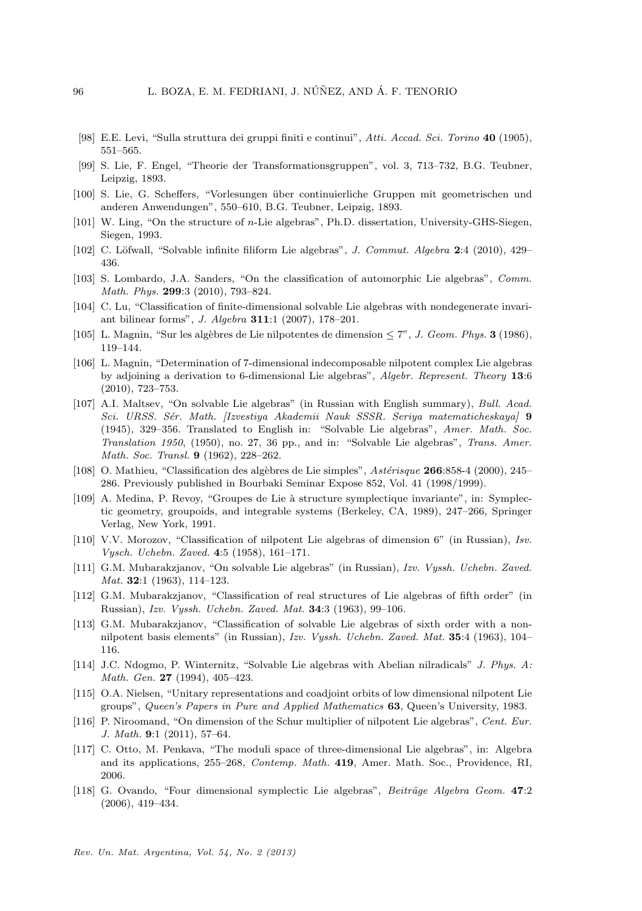- <span id="page-21-0"></span>[98] E.E. Levi, "Sulla struttura dei gruppi finiti e continui", Atti. Accad. Sci. Torino 40 (1905), 551–565.
- <span id="page-21-2"></span>[99] S. Lie, F. Engel, "Theorie der Transformationsgruppen", vol. 3, 713–732, B.G. Teubner, Leipzig, 1893.
- <span id="page-21-3"></span>[100] S. Lie, G. Scheffers, "Vorlesungen ¨uber continuierliche Gruppen mit geometrischen und anderen Anwendungen", 550–610, B.G. Teubner, Leipzig, 1893.
- <span id="page-21-18"></span>[101] W. Ling, "On the structure of n-Lie algebras", Ph.D. dissertation, University-GHS-Siegen, Siegen, 1993.
- <span id="page-21-19"></span>[102] C. Löfwall, "Solvable infinite filiform Lie algebras", J. Commut. Algebra 2:4 (2010), 429– 436.
- <span id="page-21-20"></span>[103] S. Lombardo, J.A. Sanders, "On the classification of automorphic Lie algebras", Comm. Math. Phys. 299:3 (2010), 793–824.
- <span id="page-21-17"></span>[104] C. Lu, "Classification of finite-dimensional solvable Lie algebras with nondegenerate invariant bilinear forms", J. Algebra 311:1 (2007), 178–201.
- <span id="page-21-14"></span>[105] L. Magnin, "Sur les algèbres de Lie nilpotentes de dimension  $\leq 7$ ", J. Geom. Phys. **3** (1986), 119–144.
- <span id="page-21-15"></span>[106] L. Magnin, "Determination of 7-dimensional indecomposable nilpotent complex Lie algebras by adjoining a derivation to 6-dimensional Lie algebras", Algebr. Represent. Theory 13:6 (2010), 723–753.
- <span id="page-21-1"></span>[107] A.I. Maltsev, "On solvable Lie algebras" (in Russian with English summary), Bull. Acad. Sci. URSS. Sér. Math. [Izvestiya Akademii Nauk SSSR. Seriya matematicheskaya] 9 (1945), 329–356. Translated to English in: "Solvable Lie algebras", Amer. Math. Soc. Translation 1950, (1950), no. 27, 36 pp., and in: "Solvable Lie algebras", Trans. Amer. Math. Soc. Transl. 9 (1962), 228–262.
- <span id="page-21-9"></span>[108] O. Mathieu, "Classification des algèbres de Lie simples",  $Astérisque$  **266**:858-4 (2000), 245– 286. Previously published in Bourbaki Seminar Expose 852, Vol. 41 (1998/1999).
- <span id="page-21-11"></span>[109] A. Medina, P. Revoy, "Groupes de Lie à structure symplectique invariante", in: Symplectic geometry, groupoids, and integrable systems (Berkeley, CA, 1989), 247–266, Springer Verlag, New York, 1991.
- <span id="page-21-7"></span>[110] V.V. Morozov, "Classification of nilpotent Lie algebras of dimension 6" (in Russian), Isv. Vysch. Uchebn. Zaved. 4:5 (1958), 161–171.
- <span id="page-21-4"></span>[111] G.M. Mubarakzjanov, "On solvable Lie algebras" (in Russian), Izv. Vyssh. Uchebn. Zaved. Mat. **32**:1 (1963), 114-123.
- <span id="page-21-5"></span>[112] G.M. Mubarakzjanov, "Classification of real structures of Lie algebras of fifth order" (in Russian), Izv. Vyssh. Uchebn. Zaved. Mat. 34:3 (1963), 99–106.
- <span id="page-21-6"></span>[113] G.M. Mubarakzjanov, "Classification of solvable Lie algebras of sixth order with a nonnilpotent basis elements" (in Russian), Izv. Vyssh. Uchebn. Zaved. Mat. 35:4 (1963), 104– 116.
- <span id="page-21-12"></span>[114] J.C. Ndogmo, P. Winternitz, "Solvable Lie algebras with Abelian nilradicals" J. Phys. A: Math. Gen. 27 (1994), 405–423.
- <span id="page-21-13"></span>[115] O.A. Nielsen, "Unitary representations and coadjoint orbits of low dimensional nilpotent Lie groups", Queen's Papers in Pure and Applied Mathematics 63, Queen's University, 1983.
- <span id="page-21-16"></span>[116] P. Niroomand, "On dimension of the Schur multiplier of nilpotent Lie algebras", Cent. Eur. J. Math. 9:1 (2011), 57–64.
- <span id="page-21-8"></span>[117] C. Otto, M. Penkava, "The moduli space of three-dimensional Lie algebras", in: Algebra and its applications, 255–268, Contemp. Math. 419, Amer. Math. Soc., Providence, RI, 2006.
- <span id="page-21-10"></span>[118] G. Ovando, "Four dimensional symplectic Lie algebras", Beiträge Algebra Geom. 47:2 (2006), 419–434.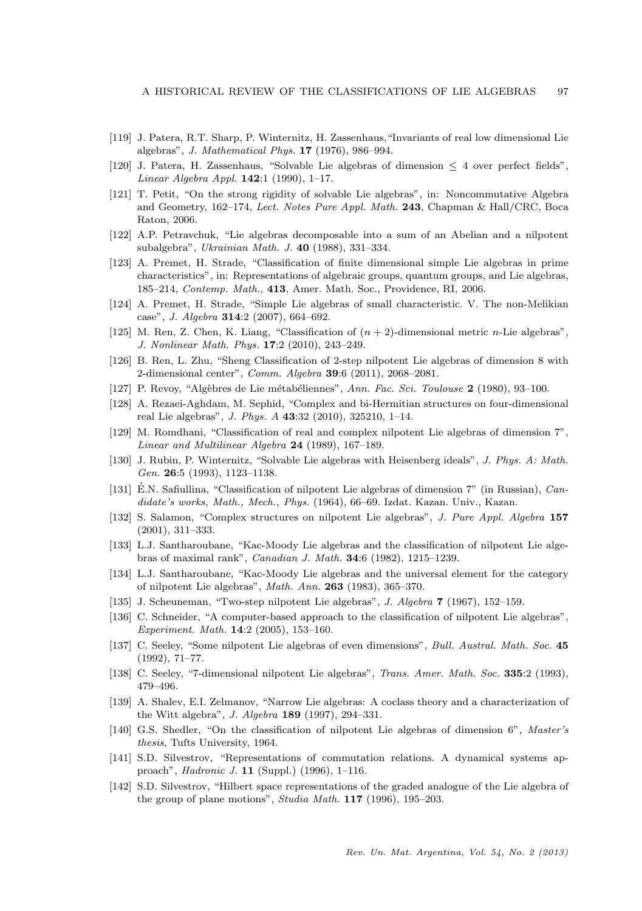- <span id="page-22-0"></span>[119] J. Patera, R.T. Sharp, P. Winternitz, H. Zassenhaus,"Invariants of real low dimensional Lie algebras", J. Mathematical Phys. 17 (1976), 986–994.
- <span id="page-22-1"></span>[120] J. Patera, H. Zassenhaus, "Solvable Lie algebras of dimension  $\leq 4$  over perfect fields", Linear Algebra Appl.  $142:1$  (1990), 1-17.
- <span id="page-22-22"></span>[121] T. Petit, "On the strong rigidity of solvable Lie algebras", in: Noncommutative Algebra and Geometry, 162–174, Lect. Notes Pure Appl. Math. 243, Chapman & Hall/CRC, Boca Raton, 2006.
- <span id="page-22-18"></span>[122] A.P. Petravchuk, "Lie algebras decomposable into a sum of an Abelian and a nilpotent subalgebra", Ukrainian Math. J. 40 (1988), 331–334.
- <span id="page-22-2"></span>[123] A. Premet, H. Strade, "Classification of finite dimensional simple Lie algebras in prime characteristics", in: Representations of algebraic groups, quantum groups, and Lie algebras, 185–214, Contemp. Math., 413, Amer. Math. Soc., Providence, RI, 2006.
- <span id="page-22-3"></span>[124] A. Premet, H. Strade, "Simple Lie algebras of small characteristic. V. The non-Melikian case", J. Algebra 314:2 (2007), 664–692.
- <span id="page-22-20"></span>[125] M. Ren, Z. Chen, K. Liang, "Classification of  $(n + 2)$ -dimensional metric *n*-Lie algebras", J. Nonlinear Math. Phys. 17:2 (2010), 243–249.
- <span id="page-22-15"></span>[126] B. Ren, L. Zhu, "Sheng Classification of 2-step nilpotent Lie algebras of dimension 8 with 2-dimensional center", Comm. Algebra 39:6 (2011), 2068–2081.
- <span id="page-22-14"></span>[127] P. Revoy, "Algèbres de Lie métabéliennes", Ann. Fac. Sci. Toulouse 2 (1980), 93-100.
- <span id="page-22-23"></span>[128] A. Rezaei-Aghdam, M. Sephid, "Complex and bi-Hermitian structures on four-dimensional real Lie algebras", J. Phys. A 43:32 (2010), 325210, 1–14.
- <span id="page-22-8"></span>[129] M. Romdhani, "Classification of real and complex nilpotent Lie algebras of dimension 7", Linear and Multilinear Algebra 24 (1989), 167–189.
- <span id="page-22-4"></span>[130] J. Rubin, P. Winternitz, "Solvable Lie algebras with Heisenberg ideals", J. Phys. A: Math. Gen. 26:5 (1993), 1123–1138.
- <span id="page-22-6"></span>[131] E.N. Safiullina, "Classification of nilpotent Lie algebras of dimension  $7$ " (in Russian), *Can*didate's works, Math., Mech., Phys. (1964), 66–69. Izdat. Kazan. Univ., Kazan.
- <span id="page-22-19"></span>[132] S. Salamon, "Complex structures on nilpotent Lie algebras", J. Pure Appl. Algebra 157 (2001), 311–333.
- <span id="page-22-5"></span>[133] L.J. Santharoubane, "Kac-Moody Lie algebras and the classification of nilpotent Lie algebras of maximal rank", Canadian J. Math. 34:6 (1982), 1215–1239.
- <span id="page-22-21"></span>[134] L.J. Santharoubane, "Kac-Moody Lie algebras and the universal element for the category of nilpotent Lie algebras", Math. Ann. 263 (1983), 365–370.
- <span id="page-22-13"></span>[135] J. Scheuneman, "Two-step nilpotent Lie algebras", J. Algebra 7 (1967), 152–159.
- <span id="page-22-10"></span>[136] C. Schneider, "A computer-based approach to the classification of nilpotent Lie algebras", Experiment. Math. 14:2 (2005), 153–160.
- <span id="page-22-9"></span>[137] C. Seeley, "Some nilpotent Lie algebras of even dimensions", Bull. Austral. Math. Soc. 45 (1992), 71–77.
- <span id="page-22-11"></span>[138] C. Seeley, "7-dimensional nilpotent Lie algebras", Trans. Amer. Math. Soc. 335:2 (1993), 479–496.
- <span id="page-22-12"></span>[139] A. Shalev, E.I. Zelmanov, "Narrow Lie algebras: A coclass theory and a characterization of the Witt algebra", J. Algebra 189 (1997), 294–331.
- <span id="page-22-7"></span>[140] G.S. Shedler, "On the classification of nilpotent Lie algebras of dimension 6", Master's thesis, Tufts University, 1964.
- <span id="page-22-16"></span>[141] S.D. Silvestrov, "Representations of commutation relations. A dynamical systems approach", Hadronic J. 11 (Suppl.) (1996), 1–116.
- <span id="page-22-17"></span>[142] S.D. Silvestrov, "Hilbert space representations of the graded analogue of the Lie algebra of the group of plane motions", Studia Math. 117 (1996), 195–203.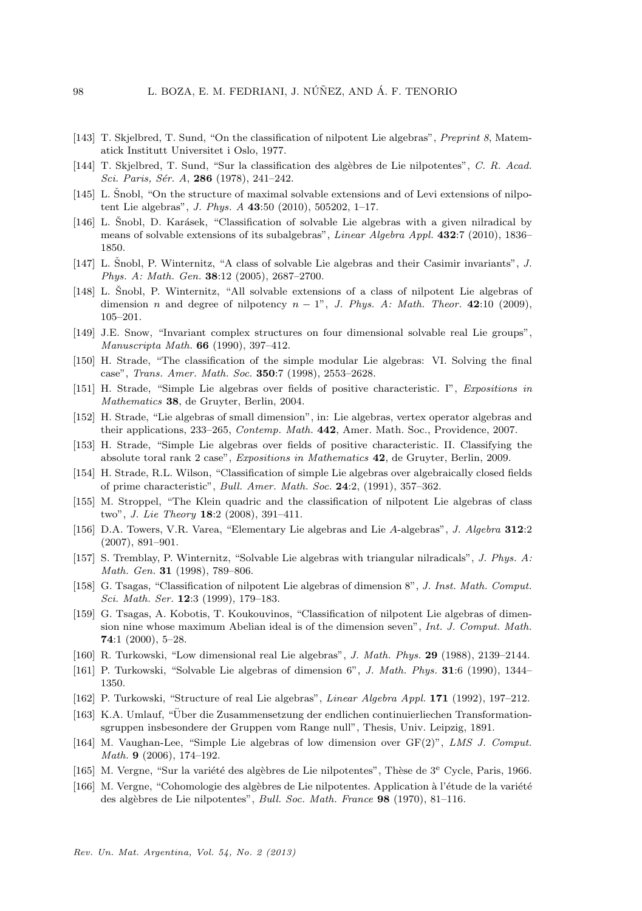- <span id="page-23-18"></span>[143] T. Skjelbred, T. Sund, "On the classification of nilpotent Lie algebras", Preprint 8, Matematick Institutt Universitet i Oslo, 1977.
- <span id="page-23-17"></span>[144] T. Skjelbred, T. Sund, "Sur la classification des algèbres de Lie nilpotentes", C. R. Acad. Sci. Paris, Sér. A, 286 (1978), 241-242.
- <span id="page-23-3"></span>[145] L. Snobl, "On the structure of maximal solvable extensions and of Levi extensions of nilpotent Lie algebras", J. Phys. A 43:50 (2010), 505202, 1–17.
- <span id="page-23-12"></span>[146] L. Šnobl, D. Karásek, "Classification of solvable Lie algebras with a given nilradical by means of solvable extensions of its subalgebras", Linear Algebra Appl. 432:7 (2010), 1836– 1850.
- <span id="page-23-10"></span>[147] L. Snobl, P. Winternitz, "A class of solvable Lie algebras and their Casimir invariants", J. Phys. A: Math. Gen. 38:12 (2005), 2687–2700.
- <span id="page-23-11"></span> $[148]$  L. Snobl, P. Winternitz, "All solvable extensions of a class of nilpotent Lie algebras of dimension n and degree of nilpotency  $n - 1$ ", J. Phys. A: Math. Theor. 42:10 (2009), 105–201.
- <span id="page-23-22"></span>[149] J.E. Snow, "Invariant complex structures on four dimensional solvable real Lie groups", Manuscripta Math. 66 (1990), 397–412.
- <span id="page-23-8"></span>[150] H. Strade, "The classification of the simple modular Lie algebras: VI. Solving the final case", Trans. Amer. Math. Soc. 350:7 (1998), 2553–2628.
- <span id="page-23-5"></span>[151] H. Strade, "Simple Lie algebras over fields of positive characteristic. I", Expositions in Mathematics 38, de Gruyter, Berlin, 2004.
- <span id="page-23-13"></span>[152] H. Strade, "Lie algebras of small dimension", in: Lie algebras, vertex operator algebras and their applications, 233–265, Contemp. Math. 442, Amer. Math. Soc., Providence, 2007.
- <span id="page-23-6"></span>[153] H. Strade, "Simple Lie algebras over fields of positive characteristic. II. Classifying the absolute toral rank 2 case", Expositions in Mathematics 42, de Gruyter, Berlin, 2009.
- <span id="page-23-4"></span>[154] H. Strade, R.L. Wilson, "Classification of simple Lie algebras over algebraically closed fields of prime characteristic", Bull. Amer. Math. Soc. 24:2, (1991), 357–362.
- <span id="page-23-21"></span>[155] M. Stroppel, "The Klein quadric and the classification of nilpotent Lie algebras of class two", J. Lie Theory 18:2 (2008), 391–411.
- <span id="page-23-23"></span>[156] D.A. Towers, V.R. Varea, "Elementary Lie algebras and Lie A-algebras", J. Algebra 312:2 (2007), 891–901.
- <span id="page-23-9"></span>[157] S. Tremblay, P. Winternitz, "Solvable Lie algebras with triangular nilradicals", J. Phys. A: Math. Gen. 31 (1998), 789–806.
- <span id="page-23-19"></span>[158] G. Tsagas, "Classification of nilpotent Lie algebras of dimension 8", J. Inst. Math. Comput. Sci. Math. Ser. 12:3 (1999), 179–183.
- <span id="page-23-20"></span>[159] G. Tsagas, A. Kobotis, T. Koukouvinos, "Classification of nilpotent Lie algebras of dimension nine whose maximum Abelian ideal is of the dimension seven", Int. J. Comput. Math. 74:1 (2000), 5–28.
- <span id="page-23-1"></span>[160] R. Turkowski, "Low dimensional real Lie algebras", J. Math. Phys. 29 (1988), 2139–2144.
- <span id="page-23-0"></span>[161] P. Turkowski, "Solvable Lie algebras of dimension 6", J. Math. Phys. 31:6 (1990), 1344– 1350.
- <span id="page-23-2"></span>[162] P. Turkowski, "Structure of real Lie algebras", Linear Algebra Appl. 171 (1992), 197–212.
- <span id="page-23-14"></span>[163] K.A. Umlauf, "Uber die Zusammensetzung der endlichen continuierliechen Transformation- ¨ sgruppen insbesondere der Gruppen vom Range null", Thesis, Univ. Leipzig, 1891.
- <span id="page-23-7"></span>[164] M. Vaughan-Lee, "Simple Lie algebras of low dimension over GF(2)", LMS J. Comput. Math. 9 (2006), 174–192.
- <span id="page-23-15"></span>[165] M. Vergne, "Sur la variété des algèbres de Lie nilpotentes", Thèse de 3<sup>e</sup> Cycle, Paris, 1966.
- <span id="page-23-16"></span>[166] M. Vergne, "Cohomologie des algèbres de Lie nilpotentes. Application à l'étude de la variété des alg`ebres de Lie nilpotentes", Bull. Soc. Math. France 98 (1970), 81–116.